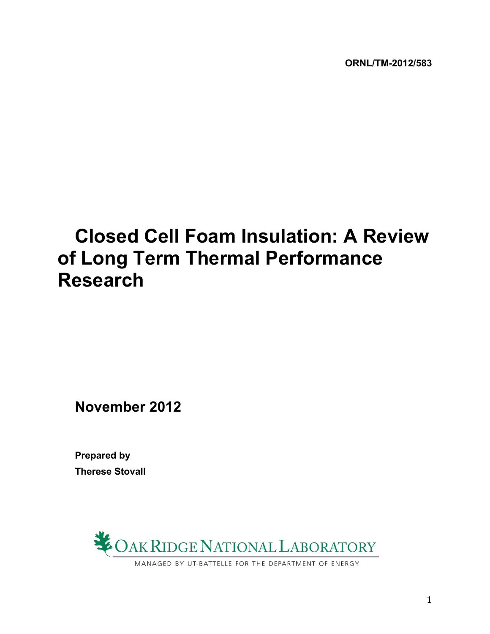# **Closed Cell Foam Insulation: A Review of Long Term Thermal Performance Research**

**November 2012**

**Prepared by Therese Stovall**



1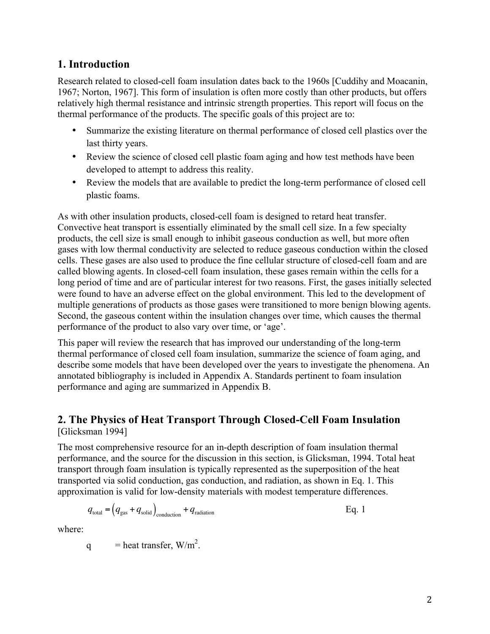### **1. Introduction**

Research related to closed-cell foam insulation dates back to the 1960s [Cuddihy and Moacanin, 1967; Norton, 1967]. This form of insulation is often more costly than other products, but offers relatively high thermal resistance and intrinsic strength properties. This report will focus on the thermal performance of the products. The specific goals of this project are to:

- Summarize the existing literature on thermal performance of closed cell plastics over the last thirty years.
- Review the science of closed cell plastic foam aging and how test methods have been developed to attempt to address this reality.
- Review the models that are available to predict the long-term performance of closed cell plastic foams.

As with other insulation products, closed-cell foam is designed to retard heat transfer. Convective heat transport is essentially eliminated by the small cell size. In a few specialty products, the cell size is small enough to inhibit gaseous conduction as well, but more often gases with low thermal conductivity are selected to reduce gaseous conduction within the closed cells. These gases are also used to produce the fine cellular structure of closed-cell foam and are called blowing agents. In closed-cell foam insulation, these gases remain within the cells for a long period of time and are of particular interest for two reasons. First, the gases initially selected were found to have an adverse effect on the global environment. This led to the development of multiple generations of products as those gases were transitioned to more benign blowing agents. Second, the gaseous content within the insulation changes over time, which causes the thermal performance of the product to also vary over time, or 'age'.

This paper will review the research that has improved our understanding of the long-term thermal performance of closed cell foam insulation, summarize the science of foam aging, and describe some models that have been developed over the years to investigate the phenomena. An annotated bibliography is included in Appendix A. Standards pertinent to foam insulation performance and aging are summarized in Appendix B.

### **2. The Physics of Heat Transport Through Closed-Cell Foam Insulation** [Glicksman 1994]

The most comprehensive resource for an in-depth description of foam insulation thermal performance, and the source for the discussion in this section, is Glicksman, 1994. Total heat transport through foam insulation is typically represented as the superposition of the heat transported via solid conduction, gas conduction, and radiation, as shown in Eq. 1. This approximation is valid for low-density materials with modest temperature differences.

$$
q_{\text{total}} = (q_{\text{gas}} + q_{\text{solid}})_{\text{conduction}} + q_{\text{radiation}}
$$
 Eq. 1

where:

q  $=$  heat transfer,  $W/m^2$ .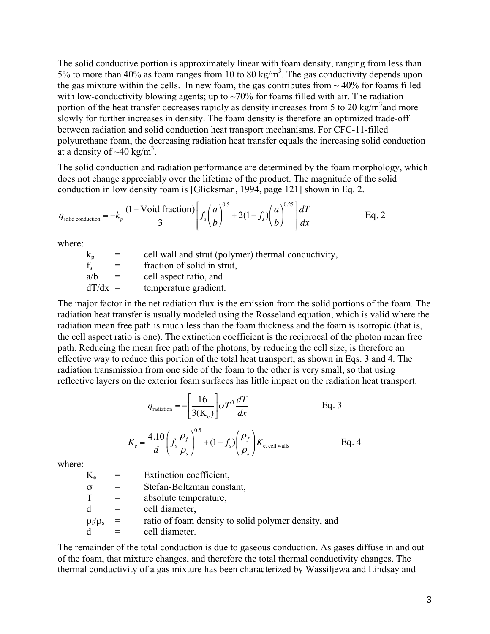The solid conductive portion is approximately linear with foam density, ranging from less than 5% to more than 40% as foam ranges from 10 to 80 kg/m<sup>3</sup>. The gas conductivity depends upon the gas mixture within the cells. In new foam, the gas contributes from  $\sim$  40% for foams filled with low-conductivity blowing agents; up to  $\sim$ 70% for foams filled with air. The radiation portion of the heat transfer decreases rapidly as density increases from 5 to 20 kg/m<sup>3</sup> and more slowly for further increases in density. The foam density is therefore an optimized trade-off between radiation and solid conduction heat transport mechanisms. For CFC-11-filled polyurethane foam, the decreasing radiation heat transfer equals the increasing solid conduction at a density of  $\sim$ 40 kg/m<sup>3</sup>.

The solid conduction and radiation performance are determined by the foam morphology, which does not change appreciably over the lifetime of the product. The magnitude of the solid conduction in low density foam is [Glicksman, 1994, page 121] shown in Eq. 2.

$$
q_{\text{solid conduction}} = -k_p \frac{(1 - \text{Void fraction})}{3} \left[ f_s \left( \frac{a}{b} \right)^{0.5} + 2(1 - f_s) \left( \frac{a}{b} \right)^{0.25} \right] \frac{dT}{dx}
$$
 Eq. 2

where:

 $k_p$  = cell wall and strut (polymer) thermal conductivity,  $f_s$  = fraction of solid in strut,  $a/b =$  cell aspect ratio, and  $dT/dx$  = temperature gradient.

The major factor in the net radiation flux is the emission from the solid portions of the foam. The radiation heat transfer is usually modeled using the Rosseland equation, which is valid where the radiation mean free path is much less than the foam thickness and the foam is isotropic (that is, the cell aspect ratio is one). The extinction coefficient is the reciprocal of the photon mean free path. Reducing the mean free path of the photons, by reducing the cell size, is therefore an effective way to reduce this portion of the total heat transport, as shown in Eqs. 3 and 4. The radiation transmission from one side of the foam to the other is very small, so that using reflective layers on the exterior foam surfaces has little impact on the radiation heat transport.

$$
q_{\text{radiation}} = -\left[\frac{16}{3(\text{K}_{\text{e}})}\right] \sigma T^3 \frac{dT}{dx}
$$
 Eq. 3  

$$
K_e = \frac{4.10}{d} \left(f_s \frac{\rho_f}{\rho_s}\right)^{0.5} + (1 - f_s) \left(\frac{\rho_f}{\rho_s}\right) K_{\text{e, cell walls}}
$$
 Eq. 4

where:

 $K_e$  = Extinction coefficient,  $\sigma$  = Stefan-Boltzman constant,<br>  $T$  = absolute temperature.  $=$  absolute temperature,  $d =$  cell diameter,  $\rho_f/\rho_s$  = ratio of foam density to solid polymer density, and  $d =$  cell diameter.

The remainder of the total conduction is due to gaseous conduction. As gases diffuse in and out of the foam, that mixture changes, and therefore the total thermal conductivity changes. The thermal conductivity of a gas mixture has been characterized by Wassiljewa and Lindsay and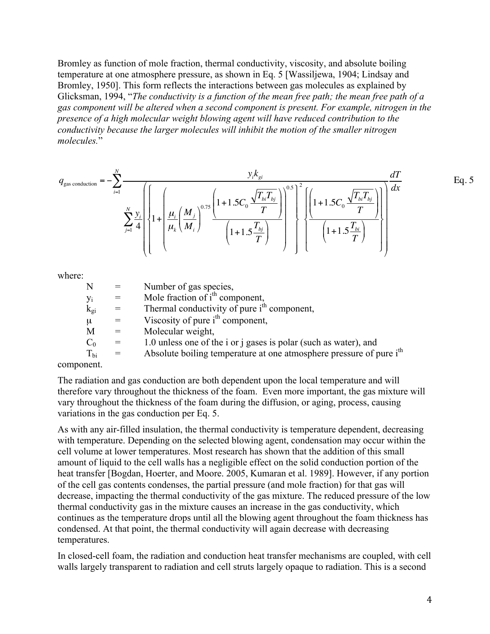Bromley as function of mole fraction, thermal conductivity, viscosity, and absolute boiling temperature at one atmosphere pressure, as shown in Eq. 5 [Wassiljewa, 1904; Lindsay and Bromley, 1950]. This form reflects the interactions between gas molecules as explained by Glicksman, 1994, "*The conductivity is a function of the mean free path; the mean free path of a gas component will be altered when a second component is present. For example, nitrogen in the presence of a high molecular weight blowing agent will have reduced contribution to the conductivity because the larger molecules will inhibit the motion of the smaller nitrogen molecules.*"

$$
q_{\text{gas conduction}} = -\sum_{i=1}^{N} \frac{y_{i}k_{gi}}{\sum_{j=1}^{N} \frac{y_{i}}{4} \left\{ 1 + \left( \frac{\mu_{i}}{\mu_{k}} \left( \frac{M_{j}}{M_{i}} \right)^{0.75} \frac{\left( 1 + 1.5C_{0} \frac{\sqrt{T_{bi}T_{bj}}}{T} \right)}{\left( 1 + 1.5 \frac{T_{bj}}{T} \right)} \right\}^{0.5} \left\{ \frac{\left( 1 + 1.5C_{0} \frac{\sqrt{T_{bi}T_{bj}}}{T} \right)}{\left( 1 + 1.5 \frac{T_{bi}}{T} \right)} \right\}^{0.5}
$$
 Eq. 5

where:

| N              | $\alpha = \alpha$       | Number of gas species,                                                          |
|----------------|-------------------------|---------------------------------------------------------------------------------|
| Уi             | $\epsilon = 1$          | Mole fraction of i <sup>th</sup> component,                                     |
| $\rm k_{gi}$   | $\alpha = 1$            | Thermal conductivity of pure i <sup>th</sup> component,                         |
| μ              | $=$                     | Viscosity of pure $ith$ component,                                              |
| М              | $\alpha_{\rm c} = 0.01$ | Molecular weight,                                                               |
| $\mathrm{C}_0$ | $=$                     | 1.0 unless one of the i or j gases is polar (such as water), and                |
| $T_{bi}$       | $=$                     | Absolute boiling temperature at one atmosphere pressure of pure i <sup>th</sup> |
|                |                         |                                                                                 |

component.

The radiation and gas conduction are both dependent upon the local temperature and will therefore vary throughout the thickness of the foam. Even more important, the gas mixture will vary throughout the thickness of the foam during the diffusion, or aging, process, causing variations in the gas conduction per Eq. 5.

As with any air-filled insulation, the thermal conductivity is temperature dependent, decreasing with temperature. Depending on the selected blowing agent, condensation may occur within the cell volume at lower temperatures. Most research has shown that the addition of this small amount of liquid to the cell walls has a negligible effect on the solid conduction portion of the heat transfer [Bogdan, Hoerter, and Moore. 2005, Kumaran et al. 1989]. However, if any portion of the cell gas contents condenses, the partial pressure (and mole fraction) for that gas will decrease, impacting the thermal conductivity of the gas mixture. The reduced pressure of the low thermal conductivity gas in the mixture causes an increase in the gas conductivity, which continues as the temperature drops until all the blowing agent throughout the foam thickness has condensed. At that point, the thermal conductivity will again decrease with decreasing temperatures.

In closed-cell foam, the radiation and conduction heat transfer mechanisms are coupled, with cell walls largely transparent to radiation and cell struts largely opaque to radiation. This is a second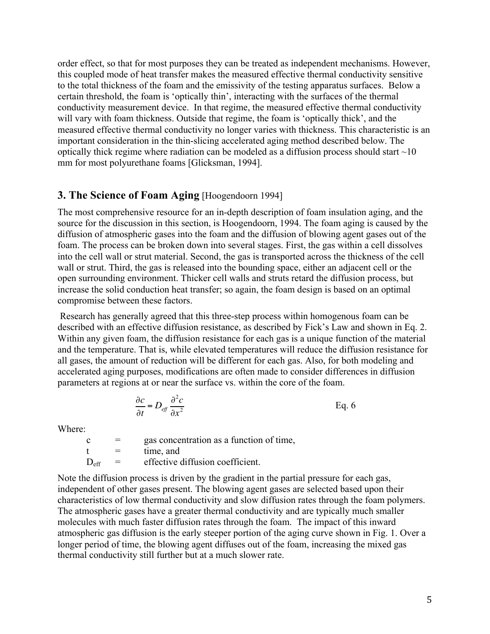order effect, so that for most purposes they can be treated as independent mechanisms. However, this coupled mode of heat transfer makes the measured effective thermal conductivity sensitive to the total thickness of the foam and the emissivity of the testing apparatus surfaces. Below a certain threshold, the foam is 'optically thin', interacting with the surfaces of the thermal conductivity measurement device. In that regime, the measured effective thermal conductivity will vary with foam thickness. Outside that regime, the foam is 'optically thick', and the measured effective thermal conductivity no longer varies with thickness. This characteristic is an important consideration in the thin-slicing accelerated aging method described below. The optically thick regime where radiation can be modeled as a diffusion process should start  $\sim$ 10 mm for most polyurethane foams [Glicksman, 1994].

#### **3. The Science of Foam Aging** [Hoogendoorn 1994]

The most comprehensive resource for an in-depth description of foam insulation aging, and the source for the discussion in this section, is Hoogendoorn, 1994. The foam aging is caused by the diffusion of atmospheric gases into the foam and the diffusion of blowing agent gases out of the foam. The process can be broken down into several stages. First, the gas within a cell dissolves into the cell wall or strut material. Second, the gas is transported across the thickness of the cell wall or strut. Third, the gas is released into the bounding space, either an adjacent cell or the open surrounding environment. Thicker cell walls and struts retard the diffusion process, but increase the solid conduction heat transfer; so again, the foam design is based on an optimal compromise between these factors.

Research has generally agreed that this three-step process within homogenous foam can be described with an effective diffusion resistance, as described by Fick's Law and shown in Eq. 2. Within any given foam, the diffusion resistance for each gas is a unique function of the material and the temperature. That is, while elevated temperatures will reduce the diffusion resistance for all gases, the amount of reduction will be different for each gas. Also, for both modeling and accelerated aging purposes, modifications are often made to consider differences in diffusion parameters at regions at or near the surface vs. within the core of the foam.

$$
\frac{\partial c}{\partial t} = D_{\text{eff}} \frac{\partial^2 c}{\partial x^2}
$$
 Eq. 6

Where:

 $c = gas concentration as a function of time,$  $t =$  time and  $D_{\text{eff}}$  = effective diffusion coefficient.

Note the diffusion process is driven by the gradient in the partial pressure for each gas, independent of other gases present. The blowing agent gases are selected based upon their characteristics of low thermal conductivity and slow diffusion rates through the foam polymers. The atmospheric gases have a greater thermal conductivity and are typically much smaller molecules with much faster diffusion rates through the foam. The impact of this inward atmospheric gas diffusion is the early steeper portion of the aging curve shown in Fig. 1. Over a longer period of time, the blowing agent diffuses out of the foam, increasing the mixed gas thermal conductivity still further but at a much slower rate.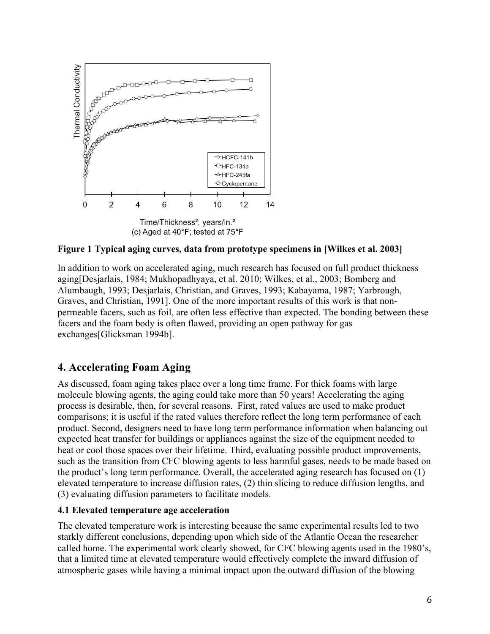

**Figure 1 Typical aging curves, data from prototype specimens in [Wilkes et al. 2003]**

In addition to work on accelerated aging, much research has focused on full product thickness aging[Desjarlais, 1984; Mukhopadhyaya, et al. 2010; Wilkes, et al., 2003; Bomberg and Alumbaugh, 1993; Desjarlais, Christian, and Graves, 1993; Kabayama, 1987; Yarbrough, Graves, and Christian, 1991]. One of the more important results of this work is that nonpermeable facers, such as foil, are often less effective than expected. The bonding between these facers and the foam body is often flawed, providing an open pathway for gas exchanges[Glicksman 1994b].

### **4. Accelerating Foam Aging**

As discussed, foam aging takes place over a long time frame. For thick foams with large molecule blowing agents, the aging could take more than 50 years! Accelerating the aging process is desirable, then, for several reasons. First, rated values are used to make product comparisons; it is useful if the rated values therefore reflect the long term performance of each product. Second, designers need to have long term performance information when balancing out expected heat transfer for buildings or appliances against the size of the equipment needed to heat or cool those spaces over their lifetime. Third, evaluating possible product improvements, such as the transition from CFC blowing agents to less harmful gases, needs to be made based on the product's long term performance. Overall, the accelerated aging research has focused on (1) elevated temperature to increase diffusion rates, (2) thin slicing to reduce diffusion lengths, and (3) evaluating diffusion parameters to facilitate models.

#### **4.1 Elevated temperature age acceleration**

The elevated temperature work is interesting because the same experimental results led to two starkly different conclusions, depending upon which side of the Atlantic Ocean the researcher called home. The experimental work clearly showed, for CFC blowing agents used in the 1980's, that a limited time at elevated temperature would effectively complete the inward diffusion of atmospheric gases while having a minimal impact upon the outward diffusion of the blowing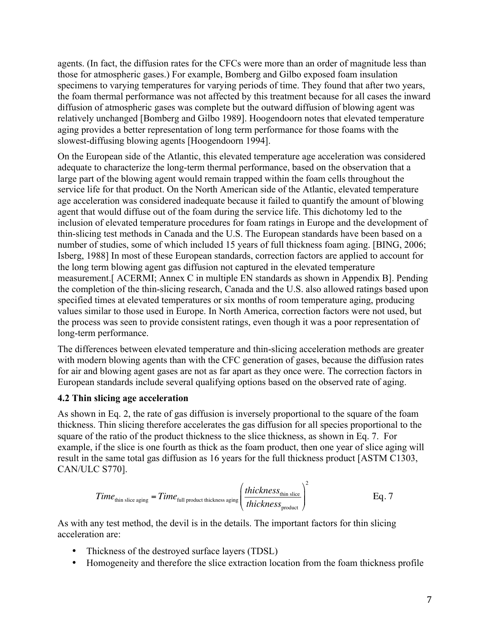agents. (In fact, the diffusion rates for the CFCs were more than an order of magnitude less than those for atmospheric gases.) For example, Bomberg and Gilbo exposed foam insulation specimens to varying temperatures for varying periods of time. They found that after two years, the foam thermal performance was not affected by this treatment because for all cases the inward diffusion of atmospheric gases was complete but the outward diffusion of blowing agent was relatively unchanged [Bomberg and Gilbo 1989]. Hoogendoorn notes that elevated temperature aging provides a better representation of long term performance for those foams with the slowest-diffusing blowing agents [Hoogendoorn 1994].

On the European side of the Atlantic, this elevated temperature age acceleration was considered adequate to characterize the long-term thermal performance, based on the observation that a large part of the blowing agent would remain trapped within the foam cells throughout the service life for that product. On the North American side of the Atlantic, elevated temperature age acceleration was considered inadequate because it failed to quantify the amount of blowing agent that would diffuse out of the foam during the service life. This dichotomy led to the inclusion of elevated temperature procedures for foam ratings in Europe and the development of thin-slicing test methods in Canada and the U.S. The European standards have been based on a number of studies, some of which included 15 years of full thickness foam aging. [BING, 2006; Isberg, 1988] In most of these European standards, correction factors are applied to account for the long term blowing agent gas diffusion not captured in the elevated temperature measurement.[ ACERMI; Annex C in multiple EN standards as shown in Appendix B]. Pending the completion of the thin-slicing research, Canada and the U.S. also allowed ratings based upon specified times at elevated temperatures or six months of room temperature aging, producing values similar to those used in Europe. In North America, correction factors were not used, but the process was seen to provide consistent ratings, even though it was a poor representation of long-term performance.

The differences between elevated temperature and thin-slicing acceleration methods are greater with modern blowing agents than with the CFC generation of gases, because the diffusion rates for air and blowing agent gases are not as far apart as they once were. The correction factors in European standards include several qualifying options based on the observed rate of aging.

#### **4.2 Thin slicing age acceleration**

As shown in Eq. 2, the rate of gas diffusion is inversely proportional to the square of the foam thickness. Thin slicing therefore accelerates the gas diffusion for all species proportional to the square of the ratio of the product thickness to the slice thickness, as shown in Eq. 7. For example, if the slice is one fourth as thick as the foam product, then one year of slice aging will result in the same total gas diffusion as 16 years for the full thickness product [ASTM C1303, CAN/ULC S770].

$$
Time_{\text{thin slice aging}} = Time_{\text{full product thickness aging}} \left( \frac{thickness_{\text{thin slice}}}{thickness_{\text{product}}} \right)^2
$$
 Eq. 7

As with any test method, the devil is in the details. The important factors for thin slicing acceleration are:

- Thickness of the destroyed surface layers (TDSL)
- Homogeneity and therefore the slice extraction location from the foam thickness profile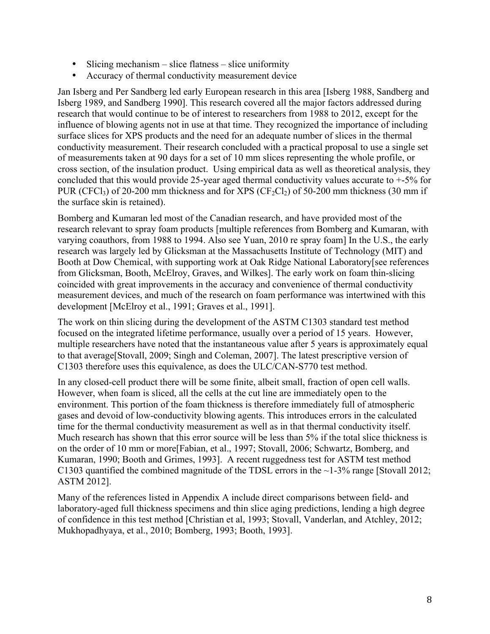- Slicing mechanism slice flatness slice uniformity
- Accuracy of thermal conductivity measurement device

Jan Isberg and Per Sandberg led early European research in this area [Isberg 1988, Sandberg and Isberg 1989, and Sandberg 1990]. This research covered all the major factors addressed during research that would continue to be of interest to researchers from 1988 to 2012, except for the influence of blowing agents not in use at that time. They recognized the importance of including surface slices for XPS products and the need for an adequate number of slices in the thermal conductivity measurement. Their research concluded with a practical proposal to use a single set of measurements taken at 90 days for a set of 10 mm slices representing the whole profile, or cross section, of the insulation product. Using empirical data as well as theoretical analysis, they concluded that this would provide 25-year aged thermal conductivity values accurate to +-5% for PUR (CFCl<sub>3</sub>) of 20-200 mm thickness and for XPS (CF<sub>2</sub>Cl<sub>2</sub>) of 50-200 mm thickness (30 mm if the surface skin is retained).

Bomberg and Kumaran led most of the Canadian research, and have provided most of the research relevant to spray foam products [multiple references from Bomberg and Kumaran, with varying coauthors, from 1988 to 1994. Also see Yuan, 2010 re spray foam] In the U.S., the early research was largely led by Glicksman at the Massachusetts Institute of Technology (MIT) and Booth at Dow Chemical, with supporting work at Oak Ridge National Laboratory[see references from Glicksman, Booth, McElroy, Graves, and Wilkes]. The early work on foam thin-slicing coincided with great improvements in the accuracy and convenience of thermal conductivity measurement devices, and much of the research on foam performance was intertwined with this development [McElroy et al., 1991; Graves et al., 1991].

The work on thin slicing during the development of the ASTM C1303 standard test method focused on the integrated lifetime performance, usually over a period of 15 years. However, multiple researchers have noted that the instantaneous value after 5 years is approximately equal to that average[Stovall, 2009; Singh and Coleman, 2007]. The latest prescriptive version of C1303 therefore uses this equivalence, as does the ULC/CAN-S770 test method.

In any closed-cell product there will be some finite, albeit small, fraction of open cell walls. However, when foam is sliced, all the cells at the cut line are immediately open to the environment. This portion of the foam thickness is therefore immediately full of atmospheric gases and devoid of low-conductivity blowing agents. This introduces errors in the calculated time for the thermal conductivity measurement as well as in that thermal conductivity itself. Much research has shown that this error source will be less than 5% if the total slice thickness is on the order of 10 mm or more[Fabian, et al., 1997; Stovall, 2006; Schwartz, Bomberg, and Kumaran, 1990; Booth and Grimes, 1993]. A recent ruggedness test for ASTM test method C1303 quantified the combined magnitude of the TDSL errors in the ~1-3% range [Stovall 2012; ASTM 2012].

Many of the references listed in Appendix A include direct comparisons between field- and laboratory-aged full thickness specimens and thin slice aging predictions, lending a high degree of confidence in this test method [Christian et al, 1993; Stovall, Vanderlan, and Atchley, 2012; Mukhopadhyaya, et al., 2010; Bomberg, 1993; Booth, 1993].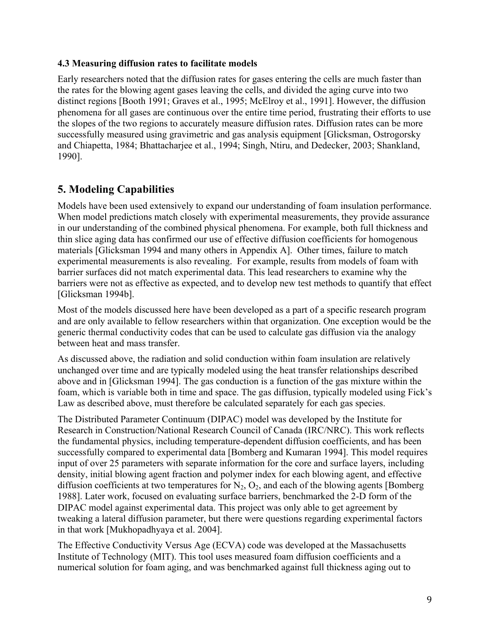#### **4.3 Measuring diffusion rates to facilitate models**

Early researchers noted that the diffusion rates for gases entering the cells are much faster than the rates for the blowing agent gases leaving the cells, and divided the aging curve into two distinct regions [Booth 1991; Graves et al., 1995; McElroy et al., 1991]. However, the diffusion phenomena for all gases are continuous over the entire time period, frustrating their efforts to use the slopes of the two regions to accurately measure diffusion rates. Diffusion rates can be more successfully measured using gravimetric and gas analysis equipment [Glicksman, Ostrogorsky and Chiapetta, 1984; Bhattacharjee et al., 1994; Singh, Ntiru, and Dedecker, 2003; Shankland, 1990].

### **5. Modeling Capabilities**

Models have been used extensively to expand our understanding of foam insulation performance. When model predictions match closely with experimental measurements, they provide assurance in our understanding of the combined physical phenomena. For example, both full thickness and thin slice aging data has confirmed our use of effective diffusion coefficients for homogenous materials [Glicksman 1994 and many others in Appendix A]. Other times, failure to match experimental measurements is also revealing. For example, results from models of foam with barrier surfaces did not match experimental data. This lead researchers to examine why the barriers were not as effective as expected, and to develop new test methods to quantify that effect [Glicksman 1994b].

Most of the models discussed here have been developed as a part of a specific research program and are only available to fellow researchers within that organization. One exception would be the generic thermal conductivity codes that can be used to calculate gas diffusion via the analogy between heat and mass transfer.

As discussed above, the radiation and solid conduction within foam insulation are relatively unchanged over time and are typically modeled using the heat transfer relationships described above and in [Glicksman 1994]. The gas conduction is a function of the gas mixture within the foam, which is variable both in time and space. The gas diffusion, typically modeled using Fick's Law as described above, must therefore be calculated separately for each gas species.

The Distributed Parameter Continuum (DIPAC) model was developed by the Institute for Research in Construction/National Research Council of Canada (IRC/NRC). This work reflects the fundamental physics, including temperature-dependent diffusion coefficients, and has been successfully compared to experimental data [Bomberg and Kumaran 1994]. This model requires input of over 25 parameters with separate information for the core and surface layers, including density, initial blowing agent fraction and polymer index for each blowing agent, and effective diffusion coefficients at two temperatures for  $N_2$ ,  $O_2$ , and each of the blowing agents [Bomberg] 1988]. Later work, focused on evaluating surface barriers, benchmarked the 2-D form of the DIPAC model against experimental data. This project was only able to get agreement by tweaking a lateral diffusion parameter, but there were questions regarding experimental factors in that work [Mukhopadhyaya et al. 2004].

The Effective Conductivity Versus Age (ECVA) code was developed at the Massachusetts Institute of Technology (MIT). This tool uses measured foam diffusion coefficients and a numerical solution for foam aging, and was benchmarked against full thickness aging out to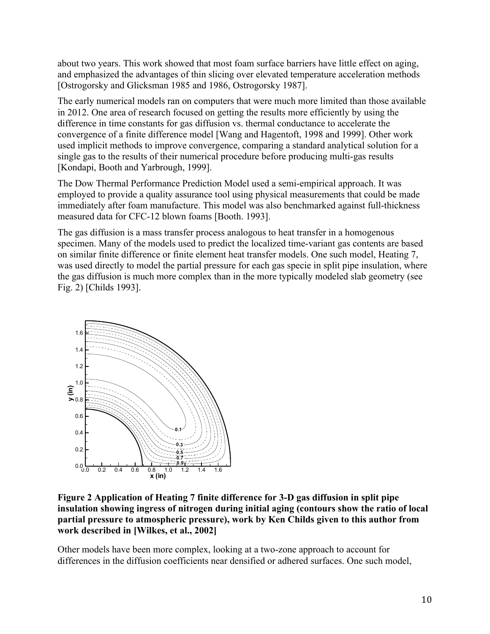about two years. This work showed that most foam surface barriers have little effect on aging, and emphasized the advantages of thin slicing over elevated temperature acceleration methods [Ostrogorsky and Glicksman 1985 and 1986, Ostrogorsky 1987].

The early numerical models ran on computers that were much more limited than those available in 2012. One area of research focused on getting the results more efficiently by using the difference in time constants for gas diffusion vs. thermal conductance to accelerate the convergence of a finite difference model [Wang and Hagentoft, 1998 and 1999]. Other work used implicit methods to improve convergence, comparing a standard analytical solution for a single gas to the results of their numerical procedure before producing multi-gas results [Kondapi, Booth and Yarbrough, 1999].

The Dow Thermal Performance Prediction Model used a semi-empirical approach. It was employed to provide a quality assurance tool using physical measurements that could be made immediately after foam manufacture. This model was also benchmarked against full-thickness measured data for CFC-12 blown foams [Booth. 1993].

The gas diffusion is a mass transfer process analogous to heat transfer in a homogenous specimen. Many of the models used to predict the localized time-variant gas contents are based on similar finite difference or finite element heat transfer models. One such model, Heating 7, was used directly to model the partial pressure for each gas specie in split pipe insulation, where the gas diffusion is much more complex than in the more typically modeled slab geometry (see Fig. 2) [Childs 1993].



**Figure 2 Application of Heating 7 finite difference for 3-D gas diffusion in split pipe insulation showing ingress of nitrogen during initial aging (contours show the ratio of local partial pressure to atmospheric pressure), work by Ken Childs given to this author from work described in [Wilkes, et al., 2002]**

Other models have been more complex, looking at a two-zone approach to account for differences in the diffusion coefficients near densified or adhered surfaces. One such model,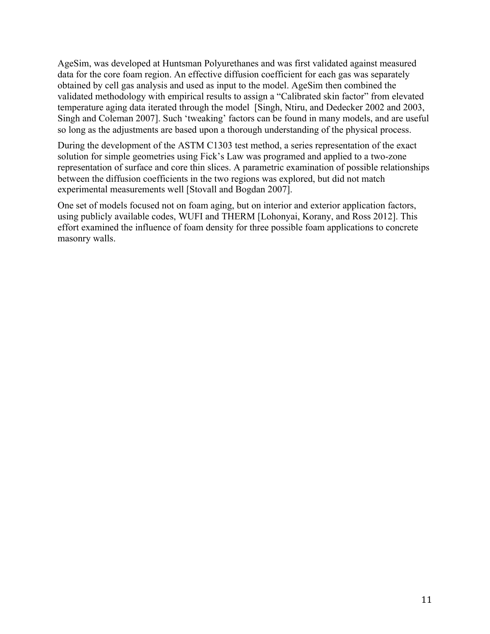AgeSim, was developed at Huntsman Polyurethanes and was first validated against measured data for the core foam region. An effective diffusion coefficient for each gas was separately obtained by cell gas analysis and used as input to the model. AgeSim then combined the validated methodology with empirical results to assign a "Calibrated skin factor" from elevated temperature aging data iterated through the model [Singh, Ntiru, and Dedecker 2002 and 2003, Singh and Coleman 2007]. Such 'tweaking' factors can be found in many models, and are useful so long as the adjustments are based upon a thorough understanding of the physical process.

During the development of the ASTM C1303 test method, a series representation of the exact solution for simple geometries using Fick's Law was programed and applied to a two-zone representation of surface and core thin slices. A parametric examination of possible relationships between the diffusion coefficients in the two regions was explored, but did not match experimental measurements well [Stovall and Bogdan 2007].

One set of models focused not on foam aging, but on interior and exterior application factors, using publicly available codes, WUFI and THERM [Lohonyai, Korany, and Ross 2012]. This effort examined the influence of foam density for three possible foam applications to concrete masonry walls.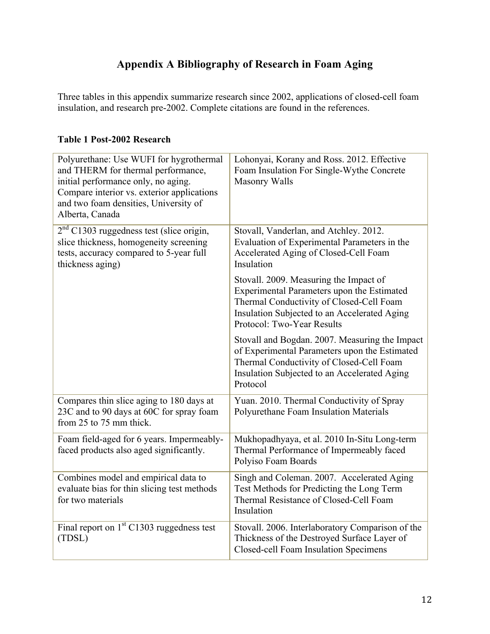## **Appendix A Bibliography of Research in Foam Aging**

Three tables in this appendix summarize research since 2002, applications of closed-cell foam insulation, and research pre-2002. Complete citations are found in the references.

#### **Table 1 Post-2002 Research**

| Polyurethane: Use WUFI for hygrothermal<br>and THERM for thermal performance,<br>initial performance only, no aging.<br>Compare interior vs. exterior applications<br>and two foam densities, University of<br>Alberta, Canada | Lohonyai, Korany and Ross. 2012. Effective<br>Foam Insulation For Single-Wythe Concrete<br><b>Masonry Walls</b>                                                                                                |
|--------------------------------------------------------------------------------------------------------------------------------------------------------------------------------------------------------------------------------|----------------------------------------------------------------------------------------------------------------------------------------------------------------------------------------------------------------|
| $2nd$ C1303 ruggedness test (slice origin,<br>slice thickness, homogeneity screening<br>tests, accuracy compared to 5-year full<br>thickness aging)                                                                            | Stovall, Vanderlan, and Atchley. 2012.<br>Evaluation of Experimental Parameters in the<br>Accelerated Aging of Closed-Cell Foam<br>Insulation                                                                  |
|                                                                                                                                                                                                                                | Stovall. 2009. Measuring the Impact of<br>Experimental Parameters upon the Estimated<br>Thermal Conductivity of Closed-Cell Foam<br>Insulation Subjected to an Accelerated Aging<br>Protocol: Two-Year Results |
|                                                                                                                                                                                                                                | Stovall and Bogdan. 2007. Measuring the Impact<br>of Experimental Parameters upon the Estimated<br>Thermal Conductivity of Closed-Cell Foam<br>Insulation Subjected to an Accelerated Aging<br>Protocol        |
| Compares thin slice aging to 180 days at<br>23C and to 90 days at 60C for spray foam<br>from 25 to 75 mm thick.                                                                                                                | Yuan. 2010. Thermal Conductivity of Spray<br>Polyurethane Foam Insulation Materials                                                                                                                            |
| Foam field-aged for 6 years. Impermeably-<br>faced products also aged significantly.                                                                                                                                           | Mukhopadhyaya, et al. 2010 In-Situ Long-term<br>Thermal Performance of Impermeably faced<br>Polyiso Foam Boards                                                                                                |
| Combines model and empirical data to<br>evaluate bias for thin slicing test methods<br>for two materials                                                                                                                       | Singh and Coleman. 2007. Accelerated Aging<br>Test Methods for Predicting the Long Term<br>Thermal Resistance of Closed-Cell Foam<br>Insulation                                                                |
| Final report on $1st$ C1303 ruggedness test<br>(TDSL)                                                                                                                                                                          | Stovall. 2006. Interlaboratory Comparison of the<br>Thickness of the Destroyed Surface Layer of<br>Closed-cell Foam Insulation Specimens                                                                       |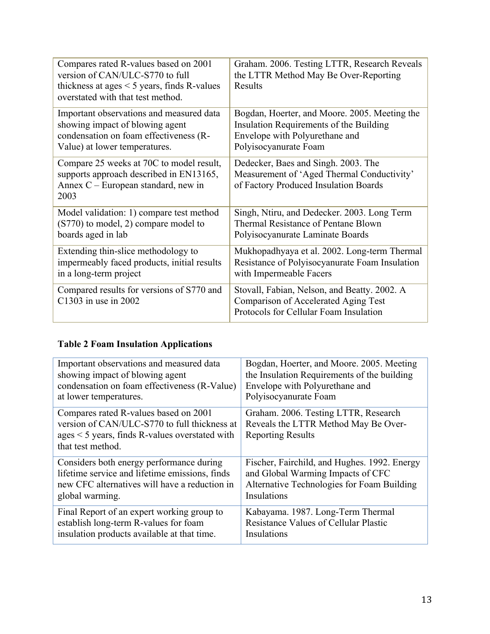| Compares rated R-values based on 2001<br>version of CAN/ULC-S770 to full<br>thickness at ages $<$ 5 years, finds R-values<br>overstated with that test method. | Graham. 2006. Testing LTTR, Research Reveals<br>the LTTR Method May Be Over-Reporting<br>Results                               |
|----------------------------------------------------------------------------------------------------------------------------------------------------------------|--------------------------------------------------------------------------------------------------------------------------------|
| Important observations and measured data                                                                                                                       | Bogdan, Hoerter, and Moore. 2005. Meeting the                                                                                  |
| showing impact of blowing agent                                                                                                                                | Insulation Requirements of the Building                                                                                        |
| condensation on foam effectiveness (R-                                                                                                                         | Envelope with Polyurethane and                                                                                                 |
| Value) at lower temperatures.                                                                                                                                  | Polyisocyanurate Foam                                                                                                          |
| Compare 25 weeks at 70C to model result,<br>supports approach described in EN13165,<br>Annex C - European standard, new in<br>2003                             | Dedecker, Baes and Singh. 2003. The<br>Measurement of 'Aged Thermal Conductivity'<br>of Factory Produced Insulation Boards     |
| Model validation: 1) compare test method                                                                                                                       | Singh, Ntiru, and Dedecker. 2003. Long Term                                                                                    |
| (S770) to model, 2) compare model to                                                                                                                           | Thermal Resistance of Pentane Blown                                                                                            |
| boards aged in lab                                                                                                                                             | Polyisocyanurate Laminate Boards                                                                                               |
| Extending thin-slice methodology to                                                                                                                            | Mukhopadhyaya et al. 2002. Long-term Thermal                                                                                   |
| impermeably faced products, initial results                                                                                                                    | Resistance of Polyisocyanurate Foam Insulation                                                                                 |
| in a long-term project                                                                                                                                         | with Impermeable Facers                                                                                                        |
| Compared results for versions of S770 and<br>C1303 in use in 2002                                                                                              | Stovall, Fabian, Nelson, and Beatty. 2002. A<br>Comparison of Accelerated Aging Test<br>Protocols for Cellular Foam Insulation |

### **Table 2 Foam Insulation Applications**

| Important observations and measured data                                                                                                                        | Bogdan, Hoerter, and Moore. 2005. Meeting                                                                |
|-----------------------------------------------------------------------------------------------------------------------------------------------------------------|----------------------------------------------------------------------------------------------------------|
| showing impact of blowing agent                                                                                                                                 | the Insulation Requirements of the building                                                              |
| condensation on foam effectiveness (R-Value)                                                                                                                    | Envelope with Polyurethane and                                                                           |
| at lower temperatures.                                                                                                                                          | Polyisocyanurate Foam                                                                                    |
| Compares rated R-values based on 2001<br>version of CAN/ULC-S770 to full thickness at<br>$ages < 5 years$ , finds R-values overstated with<br>that test method. | Graham. 2006. Testing LTTR, Research<br>Reveals the LTTR Method May Be Over-<br><b>Reporting Results</b> |
| Considers both energy performance during                                                                                                                        | Fischer, Fairchild, and Hughes. 1992. Energy                                                             |
| lifetime service and lifetime emissions, finds                                                                                                                  | and Global Warming Impacts of CFC                                                                        |
| new CFC alternatives will have a reduction in                                                                                                                   | Alternative Technologies for Foam Building                                                               |
| global warming.                                                                                                                                                 | Insulations                                                                                              |
| Final Report of an expert working group to                                                                                                                      | Kabayama. 1987. Long-Term Thermal                                                                        |
| establish long-term R-values for foam                                                                                                                           | <b>Resistance Values of Cellular Plastic</b>                                                             |
| insulation products available at that time.                                                                                                                     | Insulations                                                                                              |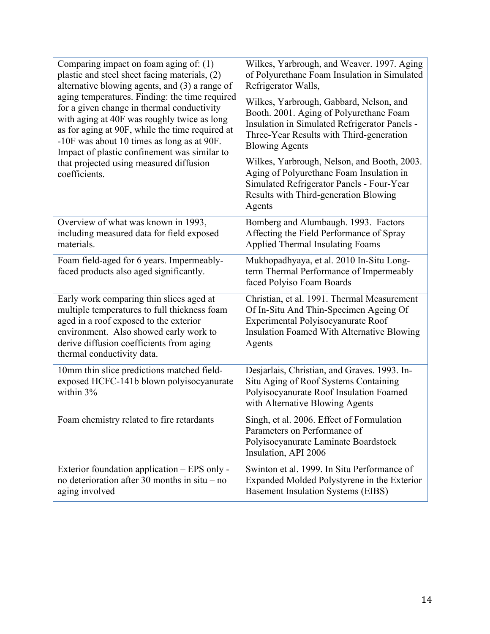| Comparing impact on foam aging of: $(1)$<br>plastic and steel sheet facing materials, (2)<br>alternative blowing agents, and (3) a range of<br>aging temperatures. Finding: the time required<br>for a given change in thermal conductivity<br>with aging at 40F was roughly twice as long<br>as for aging at 90F, while the time required at<br>-10F was about 10 times as long as at 90F.<br>Impact of plastic confinement was similar to<br>that projected using measured diffusion<br>coefficients. | Wilkes, Yarbrough, and Weaver. 1997. Aging<br>of Polyurethane Foam Insulation in Simulated<br>Refrigerator Walls,<br>Wilkes, Yarbrough, Gabbard, Nelson, and<br>Booth. 2001. Aging of Polyurethane Foam<br>Insulation in Simulated Refrigerator Panels -<br>Three-Year Results with Third-generation<br><b>Blowing Agents</b><br>Wilkes, Yarbrough, Nelson, and Booth, 2003.<br>Aging of Polyurethane Foam Insulation in<br>Simulated Refrigerator Panels - Four-Year<br>Results with Third-generation Blowing<br>Agents |
|---------------------------------------------------------------------------------------------------------------------------------------------------------------------------------------------------------------------------------------------------------------------------------------------------------------------------------------------------------------------------------------------------------------------------------------------------------------------------------------------------------|--------------------------------------------------------------------------------------------------------------------------------------------------------------------------------------------------------------------------------------------------------------------------------------------------------------------------------------------------------------------------------------------------------------------------------------------------------------------------------------------------------------------------|
| Overview of what was known in 1993,<br>including measured data for field exposed<br>materials.                                                                                                                                                                                                                                                                                                                                                                                                          | Bomberg and Alumbaugh. 1993. Factors<br>Affecting the Field Performance of Spray<br>Applied Thermal Insulating Foams                                                                                                                                                                                                                                                                                                                                                                                                     |
| Foam field-aged for 6 years. Impermeably-<br>faced products also aged significantly.                                                                                                                                                                                                                                                                                                                                                                                                                    | Mukhopadhyaya, et al. 2010 In-Situ Long-<br>term Thermal Performance of Impermeably<br>faced Polyiso Foam Boards                                                                                                                                                                                                                                                                                                                                                                                                         |
| Early work comparing thin slices aged at<br>multiple temperatures to full thickness foam<br>aged in a roof exposed to the exterior<br>environment. Also showed early work to<br>derive diffusion coefficients from aging<br>thermal conductivity data.                                                                                                                                                                                                                                                  | Christian, et al. 1991. Thermal Measurement<br>Of In-Situ And Thin-Specimen Ageing Of<br>Experimental Polyisocyanurate Roof<br><b>Insulation Foamed With Alternative Blowing</b><br>Agents                                                                                                                                                                                                                                                                                                                               |
| 10mm thin slice predictions matched field-<br>exposed HCFC-141b blown polyisocyanurate<br>within 3%                                                                                                                                                                                                                                                                                                                                                                                                     | Desjarlais, Christian, and Graves. 1993. In-<br>Situ Aging of Roof Systems Containing<br>Polyisocyanurate Roof Insulation Foamed<br>with Alternative Blowing Agents                                                                                                                                                                                                                                                                                                                                                      |
| Foam chemistry related to fire retardants                                                                                                                                                                                                                                                                                                                                                                                                                                                               | Singh, et al. 2006. Effect of Formulation<br>Parameters on Performance of<br>Polyisocyanurate Laminate Boardstock<br>Insulation, API 2006                                                                                                                                                                                                                                                                                                                                                                                |
| Exterior foundation application – EPS only -<br>no deterioration after 30 months in $situ - no$<br>aging involved                                                                                                                                                                                                                                                                                                                                                                                       | Swinton et al. 1999. In Situ Performance of<br>Expanded Molded Polystyrene in the Exterior<br><b>Basement Insulation Systems (EIBS)</b>                                                                                                                                                                                                                                                                                                                                                                                  |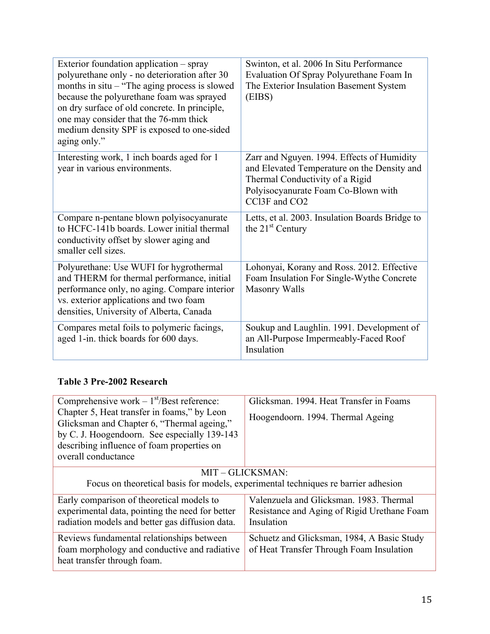| Exterior foundation application - spray<br>polyurethane only - no deterioration after 30<br>months in $situ$ – "The aging process is slowed<br>because the polyurethane foam was sprayed<br>on dry surface of old concrete. In principle,<br>one may consider that the 76-mm thick<br>medium density SPF is exposed to one-sided<br>aging only." | Swinton, et al. 2006 In Situ Performance<br>Evaluation Of Spray Polyurethane Foam In<br>The Exterior Insulation Basement System<br>(EIBS)                                            |
|--------------------------------------------------------------------------------------------------------------------------------------------------------------------------------------------------------------------------------------------------------------------------------------------------------------------------------------------------|--------------------------------------------------------------------------------------------------------------------------------------------------------------------------------------|
| Interesting work, 1 inch boards aged for 1<br>year in various environments.                                                                                                                                                                                                                                                                      | Zarr and Nguyen. 1994. Effects of Humidity<br>and Elevated Temperature on the Density and<br>Thermal Conductivity of a Rigid<br>Polyisocyanurate Foam Co-Blown with<br>CCl3F and CO2 |
| Compare n-pentane blown polyisocyanurate<br>to HCFC-141b boards. Lower initial thermal<br>conductivity offset by slower aging and<br>smaller cell sizes.                                                                                                                                                                                         | Letts, et al. 2003. Insulation Boards Bridge to<br>the $21st$ Century                                                                                                                |
| Polyurethane: Use WUFI for hygrothermal<br>and THERM for thermal performance, initial<br>performance only, no aging. Compare interior<br>vs. exterior applications and two foam<br>densities, University of Alberta, Canada                                                                                                                      | Lohonyai, Korany and Ross. 2012. Effective<br>Foam Insulation For Single-Wythe Concrete<br><b>Masonry Walls</b>                                                                      |
| Compares metal foils to polymeric facings,<br>aged 1-in. thick boards for 600 days.                                                                                                                                                                                                                                                              | Soukup and Laughlin. 1991. Development of<br>an All-Purpose Impermeably-Faced Roof<br>Insulation                                                                                     |

### **Table 3 Pre-2002 Research**

| Comprehensive work $-1st/\text{Best reference}$ :<br>Chapter 5, Heat transfer in foams," by Leon<br>Glicksman and Chapter 6, "Thermal ageing,"<br>by C. J. Hoogendoorn. See especially 139-143<br>describing influence of foam properties on<br>overall conductance | Glicksman. 1994. Heat Transfer in Foams<br>Hoogendoorn. 1994. Thermal Ageing                         |  |
|---------------------------------------------------------------------------------------------------------------------------------------------------------------------------------------------------------------------------------------------------------------------|------------------------------------------------------------------------------------------------------|--|
| MIT-GLICKSMAN:<br>Focus on theoretical basis for models, experimental techniques re barrier adhesion                                                                                                                                                                |                                                                                                      |  |
| Early comparison of theoretical models to<br>experimental data, pointing the need for better<br>radiation models and better gas diffusion data.                                                                                                                     | Valenzuela and Glicksman, 1983. Thermal<br>Resistance and Aging of Rigid Urethane Foam<br>Insulation |  |
| Reviews fundamental relationships between<br>foam morphology and conductive and radiative<br>heat transfer through foam.                                                                                                                                            | Schuetz and Glicksman, 1984, A Basic Study<br>of Heat Transfer Through Foam Insulation               |  |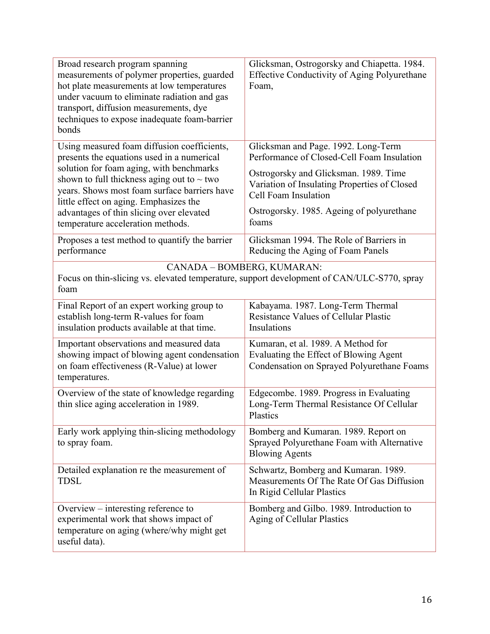| Broad research program spanning<br>measurements of polymer properties, guarded<br>hot plate measurements at low temperatures<br>under vacuum to eliminate radiation and gas<br>transport, diffusion measurements, dye<br>techniques to expose inadequate foam-barrier<br>bonds                                                                                      | Glicksman, Ostrogorsky and Chiapetta. 1984.<br><b>Effective Conductivity of Aging Polyurethane</b><br>Foam,                                                                                                                                              |  |
|---------------------------------------------------------------------------------------------------------------------------------------------------------------------------------------------------------------------------------------------------------------------------------------------------------------------------------------------------------------------|----------------------------------------------------------------------------------------------------------------------------------------------------------------------------------------------------------------------------------------------------------|--|
| Using measured foam diffusion coefficients,<br>presents the equations used in a numerical<br>solution for foam aging, with benchmarks<br>shown to full thickness aging out to $\sim$ two<br>years. Shows most foam surface barriers have<br>little effect on aging. Emphasizes the<br>advantages of thin slicing over elevated<br>temperature acceleration methods. | Glicksman and Page. 1992. Long-Term<br>Performance of Closed-Cell Foam Insulation<br>Ostrogorsky and Glicksman. 1989. Time<br>Variation of Insulating Properties of Closed<br>Cell Foam Insulation<br>Ostrogorsky. 1985. Ageing of polyurethane<br>foams |  |
| Proposes a test method to quantify the barrier<br>performance                                                                                                                                                                                                                                                                                                       | Glicksman 1994. The Role of Barriers in<br>Reducing the Aging of Foam Panels                                                                                                                                                                             |  |
| CANADA - BOMBERG, KUMARAN:<br>Focus on thin-slicing vs. elevated temperature, support development of CAN/ULC-S770, spray<br>foam                                                                                                                                                                                                                                    |                                                                                                                                                                                                                                                          |  |
| Final Report of an expert working group to<br>establish long-term R-values for foam<br>insulation products available at that time.                                                                                                                                                                                                                                  | Kabayama. 1987. Long-Term Thermal<br><b>Resistance Values of Cellular Plastic</b><br>Insulations                                                                                                                                                         |  |
| Important observations and measured data<br>showing impact of blowing agent condensation<br>on foam effectiveness (R-Value) at lower<br>temperatures.                                                                                                                                                                                                               | Kumaran, et al. 1989. A Method for<br>Evaluating the Effect of Blowing Agent<br>Condensation on Sprayed Polyurethane Foams                                                                                                                               |  |
| Overview of the state of knowledge regarding<br>thin slice aging acceleration in 1989.                                                                                                                                                                                                                                                                              | Edgecombe. 1989. Progress in Evaluating<br>Long-Term Thermal Resistance Of Cellular<br>Plastics                                                                                                                                                          |  |
| Early work applying thin-slicing methodology<br>to spray foam.                                                                                                                                                                                                                                                                                                      | Bomberg and Kumaran. 1989. Report on<br>Sprayed Polyurethane Foam with Alternative<br><b>Blowing Agents</b>                                                                                                                                              |  |
| Detailed explanation re the measurement of<br><b>TDSL</b>                                                                                                                                                                                                                                                                                                           | Schwartz, Bomberg and Kumaran. 1989.<br>Measurements Of The Rate Of Gas Diffusion<br>In Rigid Cellular Plastics                                                                                                                                          |  |
| Overview – interesting reference to<br>experimental work that shows impact of<br>temperature on aging (where/why might get<br>useful data).                                                                                                                                                                                                                         | Bomberg and Gilbo. 1989. Introduction to<br><b>Aging of Cellular Plastics</b>                                                                                                                                                                            |  |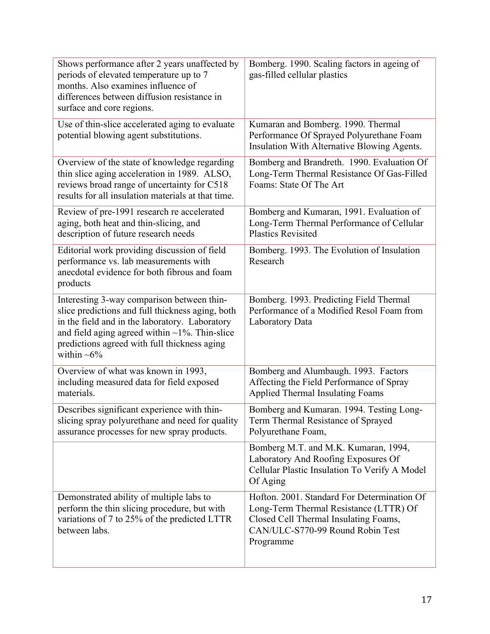| Shows performance after 2 years unaffected by<br>periods of elevated temperature up to 7<br>months. Also examines influence of<br>differences between diffusion resistance in<br>surface and core regions.                                                               | Bomberg. 1990. Scaling factors in ageing of<br>gas-filled cellular plastics                                                                                                     |
|--------------------------------------------------------------------------------------------------------------------------------------------------------------------------------------------------------------------------------------------------------------------------|---------------------------------------------------------------------------------------------------------------------------------------------------------------------------------|
| Use of thin-slice accelerated aging to evaluate<br>potential blowing agent substitutions.                                                                                                                                                                                | Kumaran and Bomberg. 1990. Thermal<br>Performance Of Sprayed Polyurethane Foam<br>Insulation With Alternative Blowing Agents.                                                   |
| Overview of the state of knowledge regarding<br>thin slice aging acceleration in 1989. ALSO,<br>reviews broad range of uncertainty for C518<br>results for all insulation materials at that time.                                                                        | Bomberg and Brandreth. 1990. Evaluation Of<br>Long-Term Thermal Resistance Of Gas-Filled<br>Foams: State Of The Art                                                             |
| Review of pre-1991 research re accelerated<br>aging, both heat and thin-slicing, and<br>description of future research needs                                                                                                                                             | Bomberg and Kumaran, 1991. Evaluation of<br>Long-Term Thermal Performance of Cellular<br><b>Plastics Revisited</b>                                                              |
| Editorial work providing discussion of field<br>performance vs. lab measurements with<br>anecdotal evidence for both fibrous and foam<br>products                                                                                                                        | Bomberg. 1993. The Evolution of Insulation<br>Research                                                                                                                          |
| Interesting 3-way comparison between thin-<br>slice predictions and full thickness aging, both<br>in the field and in the laboratory. Laboratory<br>and field aging agreed within $\sim$ 1%. Thin-slice<br>predictions agreed with full thickness aging<br>within $~6\%$ | Bomberg. 1993. Predicting Field Thermal<br>Performance of a Modified Resol Foam from<br>Laboratory Data                                                                         |
| Overview of what was known in 1993,<br>including measured data for field exposed<br>materials.                                                                                                                                                                           | Bomberg and Alumbaugh. 1993. Factors<br>Affecting the Field Performance of Spray<br><b>Applied Thermal Insulating Foams</b>                                                     |
| Describes significant experience with thin-<br>slicing spray polyurethane and need for quality<br>assurance processes for new spray products.                                                                                                                            | Bomberg and Kumaran. 1994. Testing Long-<br>Term Thermal Resistance of Sprayed<br>Polyurethane Foam,                                                                            |
|                                                                                                                                                                                                                                                                          | Bomberg M.T. and M.K. Kumaran, 1994,<br>Laboratory And Roofing Exposures Of<br>Cellular Plastic Insulation To Verify A Model<br>Of Aging                                        |
| Demonstrated ability of multiple labs to<br>perform the thin slicing procedure, but with<br>variations of 7 to 25% of the predicted LTTR<br>between labs.                                                                                                                | Hofton. 2001. Standard For Determination Of<br>Long-Term Thermal Resistance (LTTR) Of<br>Closed Cell Thermal Insulating Foams,<br>CAN/ULC-S770-99 Round Robin Test<br>Programme |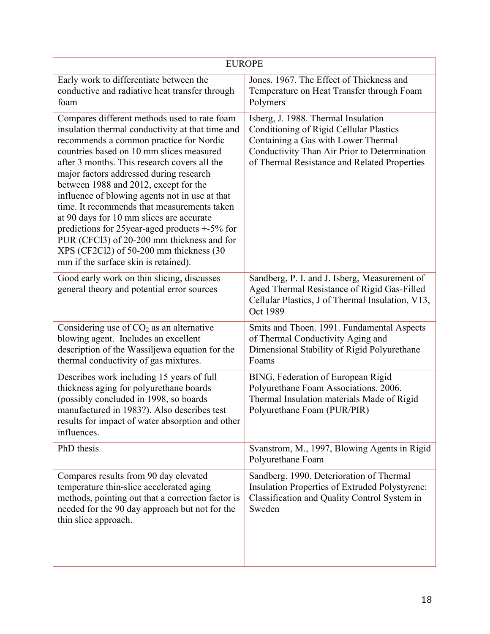| <b>EUROPE</b>                                                                                                                                                                                                                                                                                                                                                                                                                                                                                                                                                                                                                                                |                                                                                                                                                                                                                         |  |
|--------------------------------------------------------------------------------------------------------------------------------------------------------------------------------------------------------------------------------------------------------------------------------------------------------------------------------------------------------------------------------------------------------------------------------------------------------------------------------------------------------------------------------------------------------------------------------------------------------------------------------------------------------------|-------------------------------------------------------------------------------------------------------------------------------------------------------------------------------------------------------------------------|--|
| Early work to differentiate between the<br>conductive and radiative heat transfer through<br>foam                                                                                                                                                                                                                                                                                                                                                                                                                                                                                                                                                            | Jones. 1967. The Effect of Thickness and<br>Temperature on Heat Transfer through Foam<br>Polymers                                                                                                                       |  |
| Compares different methods used to rate foam<br>insulation thermal conductivity at that time and<br>recommends a common practice for Nordic<br>countries based on 10 mm slices measured<br>after 3 months. This research covers all the<br>major factors addressed during research<br>between 1988 and 2012, except for the<br>influence of blowing agents not in use at that<br>time. It recommends that measurements taken<br>at 90 days for 10 mm slices are accurate<br>predictions for 25year-aged products +-5% for<br>PUR (CFCl3) of 20-200 mm thickness and for<br>$XPS$ (CF2Cl2) of 50-200 mm thickness (30<br>mm if the surface skin is retained). | Isberg, J. 1988. Thermal Insulation -<br>Conditioning of Rigid Cellular Plastics<br>Containing a Gas with Lower Thermal<br>Conductivity Than Air Prior to Determination<br>of Thermal Resistance and Related Properties |  |
| Good early work on thin slicing, discusses<br>general theory and potential error sources                                                                                                                                                                                                                                                                                                                                                                                                                                                                                                                                                                     | Sandberg, P. I. and J. Isberg, Measurement of<br>Aged Thermal Resistance of Rigid Gas-Filled<br>Cellular Plastics, J of Thermal Insulation, V13,<br>Oct 1989                                                            |  |
| Considering use of $CO2$ as an alternative<br>blowing agent. Includes an excellent<br>description of the Wassiljewa equation for the<br>thermal conductivity of gas mixtures.                                                                                                                                                                                                                                                                                                                                                                                                                                                                                | Smits and Thoen. 1991. Fundamental Aspects<br>of Thermal Conductivity Aging and<br>Dimensional Stability of Rigid Polyurethane<br>Foams                                                                                 |  |
| Describes work including 15 years of full<br>thickness aging for polyurethane boards<br>(possibly concluded in 1998, so boards<br>manufactured in 1983?). Also describes test<br>results for impact of water absorption and other<br>influences.                                                                                                                                                                                                                                                                                                                                                                                                             | BING, Federation of European Rigid<br>Polyurethane Foam Associations. 2006.<br>Thermal Insulation materials Made of Rigid<br>Polyurethane Foam (PUR/PIR)                                                                |  |
| PhD thesis                                                                                                                                                                                                                                                                                                                                                                                                                                                                                                                                                                                                                                                   | Svanstrom, M., 1997, Blowing Agents in Rigid<br>Polyurethane Foam                                                                                                                                                       |  |
| Compares results from 90 day elevated<br>temperature thin-slice accelerated aging<br>methods, pointing out that a correction factor is<br>needed for the 90 day approach but not for the<br>thin slice approach.                                                                                                                                                                                                                                                                                                                                                                                                                                             | Sandberg. 1990. Deterioration of Thermal<br>Insulation Properties of Extruded Polystyrene:<br>Classification and Quality Control System in<br>Sweden                                                                    |  |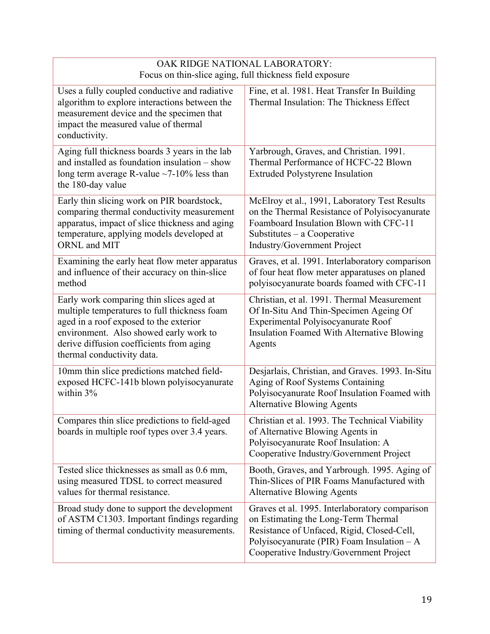#### OAK RIDGE NATIONAL LABORATORY: Focus on thin-slice aging, full thickness field exposure Uses a fully coupled conductive and radiative algorithm to explore interactions between the measurement device and the specimen that impact the measured value of thermal conductivity. Fine, et al. 1981. Heat Transfer In Building Thermal Insulation: The Thickness Effect Aging full thickness boards 3 years in the lab and installed as foundation insulation – show long term average R-value  $\sim$ 7-10% less than the 180-day value Yarbrough, Graves, and Christian. 1991. Thermal Performance of HCFC-22 Blown Extruded Polystyrene Insulation Early thin slicing work on PIR boardstock, comparing thermal conductivity measurement apparatus, impact of slice thickness and aging temperature, applying models developed at ORNL and MIT McElroy et al., 1991, Laboratory Test Results on the Thermal Resistance of Polyisocyanurate Foamboard Insulation Blown with CFC-11 Substitutes – a Cooperative Industry/Government Project Examining the early heat flow meter apparatus and influence of their accuracy on thin-slice method Graves, et al. 1991. Interlaboratory comparison of four heat flow meter apparatuses on planed polyisocyanurate boards foamed with CFC-11 Early work comparing thin slices aged at multiple temperatures to full thickness foam aged in a roof exposed to the exterior environment. Also showed early work to derive diffusion coefficients from aging thermal conductivity data. Christian, et al. 1991. Thermal Measurement Of In-Situ And Thin-Specimen Ageing Of Experimental Polyisocyanurate Roof Insulation Foamed With Alternative Blowing Agents 10mm thin slice predictions matched fieldexposed HCFC-141b blown polyisocyanurate within 3% Desjarlais, Christian, and Graves. 1993. In-Situ Aging of Roof Systems Containing Polyisocyanurate Roof Insulation Foamed with Alternative Blowing Agents Compares thin slice predictions to field-aged boards in multiple roof types over 3.4 years. Christian et al. 1993. The Technical Viability of Alternative Blowing Agents in Polyisocyanurate Roof Insulation: A Cooperative Industry/Government Project Tested slice thicknesses as small as 0.6 mm, using measured TDSL to correct measured values for thermal resistance. Booth, Graves, and Yarbrough. 1995. Aging of Thin-Slices of PIR Foams Manufactured with Alternative Blowing Agents Broad study done to support the development of ASTM C1303. Important findings regarding timing of thermal conductivity measurements. Graves et al. 1995. Interlaboratory comparison on Estimating the Long-Term Thermal Resistance of Unfaced, Rigid, Closed-Cell, Polyisocyanurate (PIR) Foam Insulation – A Cooperative Industry/Government Project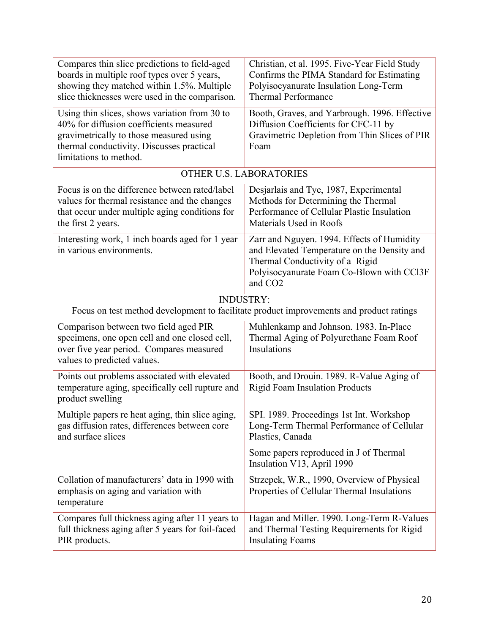| Compares thin slice predictions to field-aged<br>boards in multiple roof types over 5 years,<br>showing they matched within 1.5%. Multiple<br>slice thicknesses were used in the comparison.               | Christian, et al. 1995. Five-Year Field Study<br>Confirms the PIMA Standard for Estimating<br>Polyisocyanurate Insulation Long-Term<br><b>Thermal Performance</b>                                |  |
|------------------------------------------------------------------------------------------------------------------------------------------------------------------------------------------------------------|--------------------------------------------------------------------------------------------------------------------------------------------------------------------------------------------------|--|
| Using thin slices, shows variation from 30 to<br>40% for diffusion coefficients measured<br>gravimetrically to those measured using<br>thermal conductivity. Discusses practical<br>limitations to method. | Booth, Graves, and Yarbrough. 1996. Effective<br>Diffusion Coefficients for CFC-11 by<br>Gravimetric Depletion from Thin Slices of PIR<br>Foam                                                   |  |
|                                                                                                                                                                                                            | OTHER U.S. LABORATORIES                                                                                                                                                                          |  |
| Focus is on the difference between rated/label<br>values for thermal resistance and the changes<br>that occur under multiple aging conditions for<br>the first 2 years.                                    | Desjarlais and Tye, 1987, Experimental<br>Methods for Determining the Thermal<br>Performance of Cellular Plastic Insulation<br>Materials Used in Roofs                                           |  |
| Interesting work, 1 inch boards aged for 1 year<br>in various environments.                                                                                                                                | Zarr and Nguyen. 1994. Effects of Humidity<br>and Elevated Temperature on the Density and<br>Thermal Conductivity of a Rigid<br>Polyisocyanurate Foam Co-Blown with CCl3F<br>and CO <sub>2</sub> |  |
| <b>INDUSTRY:</b><br>Focus on test method development to facilitate product improvements and product ratings                                                                                                |                                                                                                                                                                                                  |  |
| Comparison between two field aged PIR<br>specimens, one open cell and one closed cell,<br>over five year period. Compares measured<br>values to predicted values.                                          | Muhlenkamp and Johnson. 1983. In-Place<br>Thermal Aging of Polyurethane Foam Roof<br>Insulations                                                                                                 |  |
| Points out problems associated with elevated<br>temperature aging, specifically cell rupture and<br>product swelling                                                                                       | Booth, and Drouin. 1989. R-Value Aging of<br><b>Rigid Foam Insulation Products</b>                                                                                                               |  |
| Multiple papers re heat aging, thin slice aging,<br>gas diffusion rates, differences between core<br>and surface slices                                                                                    | SPI. 1989. Proceedings 1st Int. Workshop<br>Long-Term Thermal Performance of Cellular<br>Plastics, Canada                                                                                        |  |
|                                                                                                                                                                                                            | Some papers reproduced in J of Thermal<br>Insulation V13, April 1990                                                                                                                             |  |
| Collation of manufacturers' data in 1990 with<br>emphasis on aging and variation with<br>temperature                                                                                                       | Strzepek, W.R., 1990, Overview of Physical<br>Properties of Cellular Thermal Insulations                                                                                                         |  |
| Compares full thickness aging after 11 years to<br>full thickness aging after 5 years for foil-faced<br>PIR products.                                                                                      | Hagan and Miller. 1990. Long-Term R-Values<br>and Thermal Testing Requirements for Rigid<br><b>Insulating Foams</b>                                                                              |  |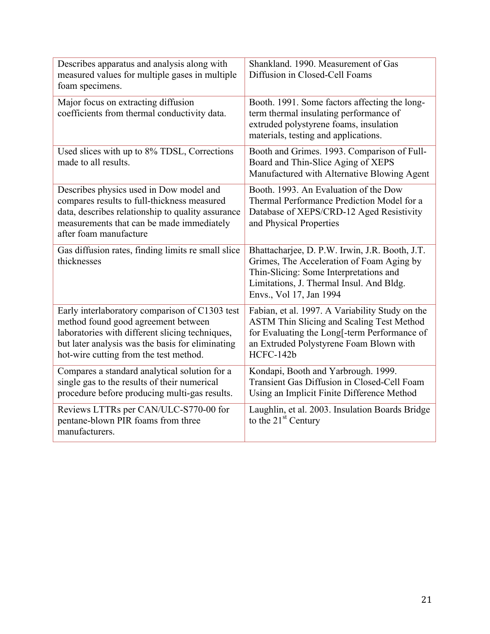| Describes apparatus and analysis along with<br>measured values for multiple gases in multiple<br>foam specimens.                                                                                                                       | Shankland. 1990. Measurement of Gas<br>Diffusion in Closed-Cell Foams                                                                                                                                        |
|----------------------------------------------------------------------------------------------------------------------------------------------------------------------------------------------------------------------------------------|--------------------------------------------------------------------------------------------------------------------------------------------------------------------------------------------------------------|
| Major focus on extracting diffusion<br>coefficients from thermal conductivity data.                                                                                                                                                    | Booth. 1991. Some factors affecting the long-<br>term thermal insulating performance of<br>extruded polystyrene foams, insulation<br>materials, testing and applications.                                    |
| Used slices with up to 8% TDSL, Corrections<br>made to all results.                                                                                                                                                                    | Booth and Grimes. 1993. Comparison of Full-<br>Board and Thin-Slice Aging of XEPS<br>Manufactured with Alternative Blowing Agent                                                                             |
| Describes physics used in Dow model and<br>compares results to full-thickness measured<br>data, describes relationship to quality assurance<br>measurements that can be made immediately<br>after foam manufacture                     | Booth. 1993. An Evaluation of the Dow<br>Thermal Performance Prediction Model for a<br>Database of XEPS/CRD-12 Aged Resistivity<br>and Physical Properties                                                   |
| Gas diffusion rates, finding limits re small slice<br>thicknesses                                                                                                                                                                      | Bhattacharjee, D. P.W. Irwin, J.R. Booth, J.T.<br>Grimes, The Acceleration of Foam Aging by<br>Thin-Slicing: Some Interpretations and<br>Limitations, J. Thermal Insul. And Bldg.<br>Envs., Vol 17, Jan 1994 |
| Early interlaboratory comparison of C1303 test<br>method found good agreement between<br>laboratories with different slicing techniques,<br>but later analysis was the basis for eliminating<br>hot-wire cutting from the test method. | Fabian, et al. 1997. A Variability Study on the<br><b>ASTM Thin Slicing and Scaling Test Method</b><br>for Evaluating the Long[-term Performance of<br>an Extruded Polystyrene Foam Blown with<br>HCFC-142b  |
| Compares a standard analytical solution for a<br>single gas to the results of their numerical<br>procedure before producing multi-gas results.                                                                                         | Kondapi, Booth and Yarbrough. 1999.<br>Transient Gas Diffusion in Closed-Cell Foam<br>Using an Implicit Finite Difference Method                                                                             |
| Reviews LTTRs per CAN/ULC-S770-00 for<br>pentane-blown PIR foams from three<br>manufacturers.                                                                                                                                          | Laughlin, et al. 2003. Insulation Boards Bridge<br>to the $21st$ Century                                                                                                                                     |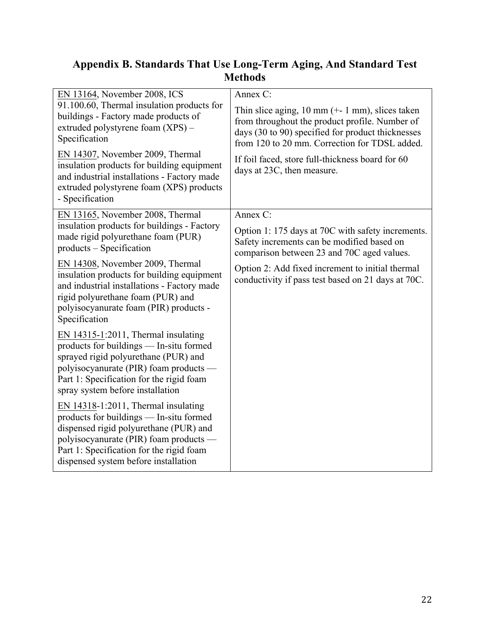### **Appendix B. Standards That Use Long-Term Aging, And Standard Test Methods**

| EN 13164, November 2008, ICS                                                                                                                                                                                                                              | Annex C:                                                                                                                                                                                                                  |
|-----------------------------------------------------------------------------------------------------------------------------------------------------------------------------------------------------------------------------------------------------------|---------------------------------------------------------------------------------------------------------------------------------------------------------------------------------------------------------------------------|
| 91.100.60, Thermal insulation products for<br>buildings - Factory made products of<br>extruded polystyrene foam (XPS) -<br>Specification                                                                                                                  | Thin slice aging, $10 \text{ mm } (+1 \text{ mm})$ , slices taken<br>from throughout the product profile. Number of<br>days (30 to 90) specified for product thicknesses<br>from 120 to 20 mm. Correction for TDSL added. |
| EN 14307, November 2009, Thermal<br>insulation products for building equipment<br>and industrial installations - Factory made<br>extruded polystyrene foam (XPS) products<br>- Specification                                                              | If foil faced, store full-thickness board for 60<br>days at 23C, then measure.                                                                                                                                            |
| EN 13165, November 2008, Thermal                                                                                                                                                                                                                          | Annex C:                                                                                                                                                                                                                  |
| insulation products for buildings - Factory<br>made rigid polyurethane foam (PUR)<br>products – Specification                                                                                                                                             | Option 1: 175 days at 70C with safety increments.<br>Safety increments can be modified based on<br>comparison between 23 and 70C aged values.                                                                             |
| EN 14308, November 2009, Thermal<br>insulation products for building equipment<br>and industrial installations - Factory made<br>rigid polyurethane foam (PUR) and<br>polyisocyanurate foam (PIR) products -<br>Specification                             | Option 2: Add fixed increment to initial thermal<br>conductivity if pass test based on 21 days at 70C.                                                                                                                    |
| EN $14315 - 1:2011$ , Thermal insulating<br>products for buildings — In-situ formed<br>sprayed rigid polyurethane (PUR) and<br>polyisocyanurate (PIR) foam products —<br>Part 1: Specification for the rigid foam<br>spray system before installation     |                                                                                                                                                                                                                           |
| EN $14318-1:2011$ , Thermal insulating<br>products for buildings — In-situ formed<br>dispensed rigid polyurethane (PUR) and<br>polyisocyanurate (PIR) foam products —<br>Part 1: Specification for the rigid foam<br>dispensed system before installation |                                                                                                                                                                                                                           |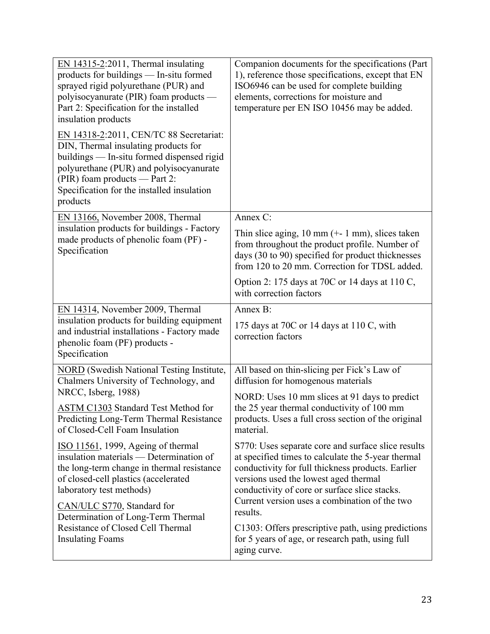| $EN$ 14315-2:2011, Thermal insulating<br>products for buildings — In-situ formed<br>sprayed rigid polyurethane (PUR) and<br>polyisocyanurate (PIR) foam products —<br>Part 2: Specification for the installed<br>insulation products<br>EN 14318-2:2011, CEN/TC 88 Secretariat:<br>DIN, Thermal insulating products for<br>buildings — In-situ formed dispensed rigid<br>polyurethane (PUR) and polyisocyanurate<br>(PIR) foam products — Part 2:<br>Specification for the installed insulation<br>products | Companion documents for the specifications (Part<br>1), reference those specifications, except that EN<br>ISO6946 can be used for complete building<br>elements, corrections for moisture and<br>temperature per EN ISO 10456 may be added.                                                                          |
|-------------------------------------------------------------------------------------------------------------------------------------------------------------------------------------------------------------------------------------------------------------------------------------------------------------------------------------------------------------------------------------------------------------------------------------------------------------------------------------------------------------|----------------------------------------------------------------------------------------------------------------------------------------------------------------------------------------------------------------------------------------------------------------------------------------------------------------------|
| EN 13166, November 2008, Thermal                                                                                                                                                                                                                                                                                                                                                                                                                                                                            | Annex C:                                                                                                                                                                                                                                                                                                             |
| insulation products for buildings - Factory<br>made products of phenolic foam (PF) -<br>Specification                                                                                                                                                                                                                                                                                                                                                                                                       | Thin slice aging, $10 \text{ mm } (+1 \text{ mm})$ , slices taken<br>from throughout the product profile. Number of<br>days (30 to 90) specified for product thicknesses<br>from 120 to 20 mm. Correction for TDSL added.                                                                                            |
|                                                                                                                                                                                                                                                                                                                                                                                                                                                                                                             | Option 2: 175 days at 70C or 14 days at 110 C,<br>with correction factors                                                                                                                                                                                                                                            |
| EN 14314, November 2009, Thermal<br>insulation products for building equipment<br>and industrial installations - Factory made<br>phenolic foam (PF) products -<br>Specification                                                                                                                                                                                                                                                                                                                             | Annex B:                                                                                                                                                                                                                                                                                                             |
|                                                                                                                                                                                                                                                                                                                                                                                                                                                                                                             | 175 days at 70C or 14 days at 110 C, with<br>correction factors                                                                                                                                                                                                                                                      |
| NORD (Swedish National Testing Institute,<br>Chalmers University of Technology, and                                                                                                                                                                                                                                                                                                                                                                                                                         | All based on thin-slicing per Fick's Law of<br>diffusion for homogenous materials                                                                                                                                                                                                                                    |
| NRCC, Isberg, 1988)<br><b>ASTM C1303 Standard Test Method for</b><br>Predicting Long-Term Thermal Resistance<br>of Closed-Cell Foam Insulation                                                                                                                                                                                                                                                                                                                                                              | NORD: Uses 10 mm slices at 91 days to predict<br>the 25 year thermal conductivity of 100 mm<br>products. Uses a full cross section of the original<br>material.                                                                                                                                                      |
| ISO 11561, 1999, Ageing of thermal<br>insulation materials — Determination of<br>the long-term change in thermal resistance<br>of closed-cell plastics (accelerated<br>laboratory test methods)<br>CAN/ULC S770, Standard for                                                                                                                                                                                                                                                                               | S770: Uses separate core and surface slice results<br>at specified times to calculate the 5-year thermal<br>conductivity for full thickness products. Earlier<br>versions used the lowest aged thermal<br>conductivity of core or surface slice stacks.<br>Current version uses a combination of the two<br>results. |
| Determination of Long-Term Thermal<br>Resistance of Closed Cell Thermal<br><b>Insulating Foams</b>                                                                                                                                                                                                                                                                                                                                                                                                          | C1303: Offers prescriptive path, using predictions<br>for 5 years of age, or research path, using full<br>aging curve.                                                                                                                                                                                               |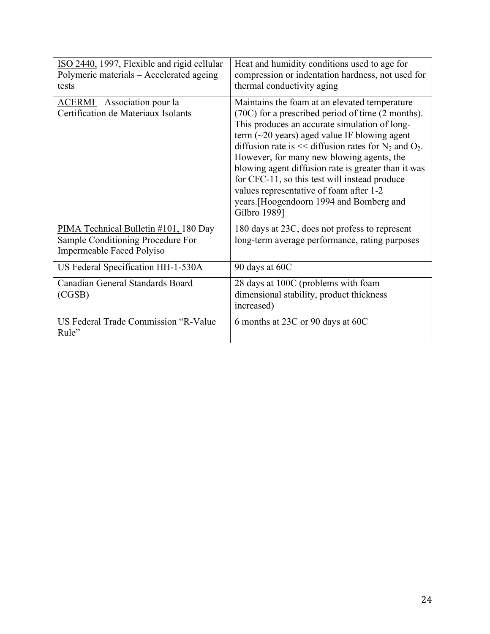| ISO 2440, 1997, Flexible and rigid cellular<br>Polymeric materials – Accelerated ageing<br>tests        | Heat and humidity conditions used to age for<br>compression or indentation hardness, not used for<br>thermal conductivity aging                                                                                                                                                                                                                                                                                                                                                                                                                         |
|---------------------------------------------------------------------------------------------------------|---------------------------------------------------------------------------------------------------------------------------------------------------------------------------------------------------------------------------------------------------------------------------------------------------------------------------------------------------------------------------------------------------------------------------------------------------------------------------------------------------------------------------------------------------------|
| <b>ACERMI</b> – Association pour la<br>Certification de Materiaux Isolants                              | Maintains the foam at an elevated temperature<br>(70C) for a prescribed period of time (2 months).<br>This produces an accurate simulation of long-<br>term $(\sim 20$ years) aged value IF blowing agent<br>diffusion rate is $<<$ diffusion rates for N <sub>2</sub> and O <sub>2</sub> .<br>However, for many new blowing agents, the<br>blowing agent diffusion rate is greater than it was<br>for CFC-11, so this test will instead produce<br>values representative of foam after 1-2<br>years. [Hoogendoorn 1994 and Bomberg and<br>Gilbro 1989] |
| PIMA Technical Bulletin #101, 180 Day<br>Sample Conditioning Procedure For<br>Impermeable Faced Polyiso | 180 days at 23C, does not profess to represent<br>long-term average performance, rating purposes                                                                                                                                                                                                                                                                                                                                                                                                                                                        |
| US Federal Specification HH-1-530A                                                                      | 90 days at 60C                                                                                                                                                                                                                                                                                                                                                                                                                                                                                                                                          |
| Canadian General Standards Board<br>(CGSB)                                                              | 28 days at 100C (problems with foam<br>dimensional stability, product thickness<br>increased)                                                                                                                                                                                                                                                                                                                                                                                                                                                           |
| US Federal Trade Commission "R-Value<br>Rule"                                                           | 6 months at 23C or 90 days at 60C                                                                                                                                                                                                                                                                                                                                                                                                                                                                                                                       |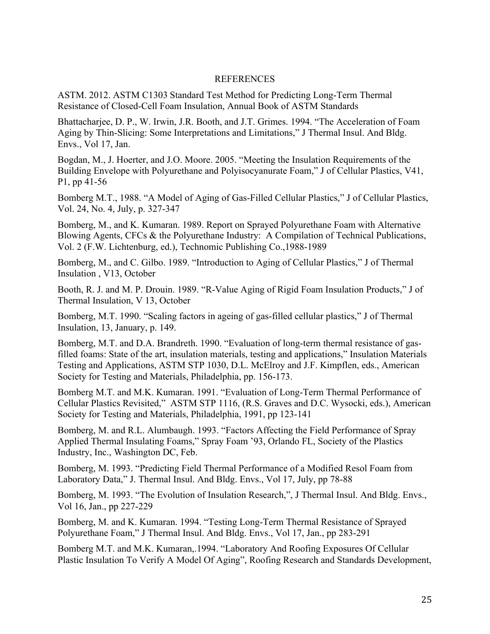#### REFERENCES

ASTM. 2012. ASTM C1303 Standard Test Method for Predicting Long-Term Thermal Resistance of Closed-Cell Foam Insulation, Annual Book of ASTM Standards

Bhattacharjee, D. P., W. Irwin, J.R. Booth, and J.T. Grimes. 1994. "The Acceleration of Foam Aging by Thin-Slicing: Some Interpretations and Limitations," J Thermal Insul. And Bldg. Envs., Vol 17, Jan.

Bogdan, M., J. Hoerter, and J.O. Moore. 2005. "Meeting the Insulation Requirements of the Building Envelope with Polyurethane and Polyisocyanurate Foam," J of Cellular Plastics, V41, P1, pp 41-56

Bomberg M.T., 1988. "A Model of Aging of Gas-Filled Cellular Plastics," J of Cellular Plastics, Vol. 24, No. 4, July, p. 327-347

Bomberg, M., and K. Kumaran. 1989. Report on Sprayed Polyurethane Foam with Alternative Blowing Agents, CFCs & the Polyurethane Industry: A Compilation of Technical Publications, Vol. 2 (F.W. Lichtenburg, ed.), Technomic Publishing Co.,1988-1989

Bomberg, M., and C. Gilbo. 1989. "Introduction to Aging of Cellular Plastics," J of Thermal Insulation , V13, October

Booth, R. J. and M. P. Drouin. 1989. "R-Value Aging of Rigid Foam Insulation Products," J of Thermal Insulation, V 13, October

Bomberg, M.T. 1990. "Scaling factors in ageing of gas-filled cellular plastics," J of Thermal Insulation, 13, January, p. 149.

Bomberg, M.T. and D.A. Brandreth. 1990. "Evaluation of long-term thermal resistance of gasfilled foams: State of the art, insulation materials, testing and applications," Insulation Materials Testing and Applications, ASTM STP 1030, D.L. McElroy and J.F. Kimpflen, eds., American Society for Testing and Materials, Philadelphia, pp. 156-173.

Bomberg M.T. and M.K. Kumaran. 1991. "Evaluation of Long-Term Thermal Performance of Cellular Plastics Revisited," ASTM STP 1116, (R.S. Graves and D.C. Wysocki, eds.), American Society for Testing and Materials, Philadelphia, 1991, pp 123-141

Bomberg, M. and R.L. Alumbaugh. 1993. "Factors Affecting the Field Performance of Spray Applied Thermal Insulating Foams," Spray Foam '93, Orlando FL, Society of the Plastics Industry, Inc., Washington DC, Feb.

Bomberg, M. 1993. "Predicting Field Thermal Performance of a Modified Resol Foam from Laboratory Data," J. Thermal Insul. And Bldg. Envs., Vol 17, July, pp 78-88

Bomberg, M. 1993. "The Evolution of Insulation Research,", J Thermal Insul. And Bldg. Envs., Vol 16, Jan., pp 227-229

Bomberg, M. and K. Kumaran. 1994. "Testing Long-Term Thermal Resistance of Sprayed Polyurethane Foam," J Thermal Insul. And Bldg. Envs., Vol 17, Jan., pp 283-291

Bomberg M.T. and M.K. Kumaran,.1994. "Laboratory And Roofing Exposures Of Cellular Plastic Insulation To Verify A Model Of Aging", Roofing Research and Standards Development,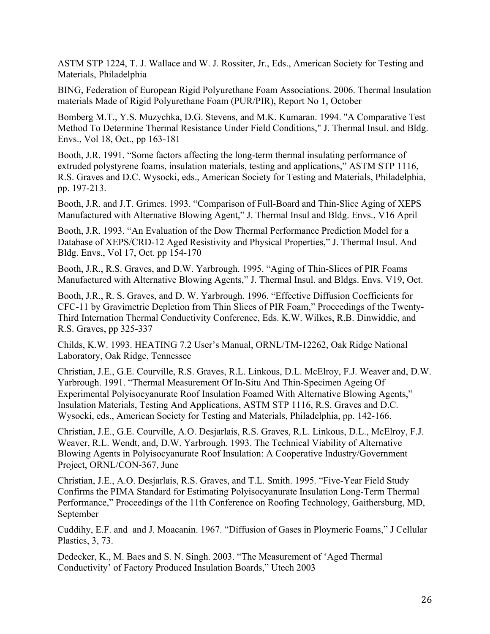ASTM STP 1224, T. J. Wallace and W. J. Rossiter, Jr., Eds., American Society for Testing and Materials, Philadelphia

BING, Federation of European Rigid Polyurethane Foam Associations. 2006. Thermal Insulation materials Made of Rigid Polyurethane Foam (PUR/PIR), Report No 1, October

Bomberg M.T., Y.S. Muzychka, D.G. Stevens, and M.K. Kumaran. 1994. "A Comparative Test Method To Determine Thermal Resistance Under Field Conditions," J. Thermal Insul. and Bldg. Envs., Vol 18, Oct., pp 163-181

Booth, J.R. 1991. "Some factors affecting the long-term thermal insulating performance of extruded polystyrene foams, insulation materials, testing and applications," ASTM STP 1116, R.S. Graves and D.C. Wysocki, eds., American Society for Testing and Materials, Philadelphia, pp. 197-213.

Booth, J.R. and J.T. Grimes. 1993. "Comparison of Full-Board and Thin-Slice Aging of XEPS Manufactured with Alternative Blowing Agent," J. Thermal Insul and Bldg. Envs., V16 April

Booth, J.R. 1993. "An Evaluation of the Dow Thermal Performance Prediction Model for a Database of XEPS/CRD-12 Aged Resistivity and Physical Properties," J. Thermal Insul. And Bldg. Envs., Vol 17, Oct. pp 154-170

Booth, J.R., R.S. Graves, and D.W. Yarbrough. 1995. "Aging of Thin-Slices of PIR Foams Manufactured with Alternative Blowing Agents," J. Thermal Insul. and Bldgs. Envs. V19, Oct.

Booth, J.R., R. S. Graves, and D. W. Yarbrough. 1996. "Effective Diffusion Coefficients for CFC-11 by Gravimetric Depletion from Thin Slices of PIR Foam," Proceedings of the Twenty-Third Internation Thermal Conductivity Conference, Eds. K.W. Wilkes, R.B. Dinwiddie, and R.S. Graves, pp 325-337

Childs, K.W. 1993. HEATING 7.2 User's Manual, ORNL/TM-12262, Oak Ridge National Laboratory, Oak Ridge, Tennessee

Christian, J.E., G.E. Courville, R.S. Graves, R.L. Linkous, D.L. McElroy, F.J. Weaver and, D.W. Yarbrough. 1991. "Thermal Measurement Of In-Situ And Thin-Specimen Ageing Of Experimental Polyisocyanurate Roof Insulation Foamed With Alternative Blowing Agents," Insulation Materials, Testing And Applications, ASTM STP 1116, R.S. Graves and D.C. Wysocki, eds., American Society for Testing and Materials, Philadelphia, pp. 142-166.

Christian, J.E., G.E. Courville, A.O. Desjarlais, R.S. Graves, R.L. Linkous, D.L., McElroy, F.J. Weaver, R.L. Wendt, and, D.W. Yarbrough. 1993. The Technical Viability of Alternative Blowing Agents in Polyisocyanurate Roof Insulation: A Cooperative Industry/Government Project, ORNL/CON-367, June

Christian, J.E., A.O. Desjarlais, R.S. Graves, and T.L. Smith. 1995. "Five-Year Field Study Confirms the PIMA Standard for Estimating Polyisocyanurate Insulation Long-Term Thermal Performance," Proceedings of the 11th Conference on Roofing Technology, Gaithersburg, MD, September

Cuddihy, E.F. and and J. Moacanin. 1967. "Diffusion of Gases in Ploymeric Foams," J Cellular Plastics, 3, 73.

Dedecker, K., M. Baes and S. N. Singh. 2003. "The Measurement of 'Aged Thermal Conductivity' of Factory Produced Insulation Boards," Utech 2003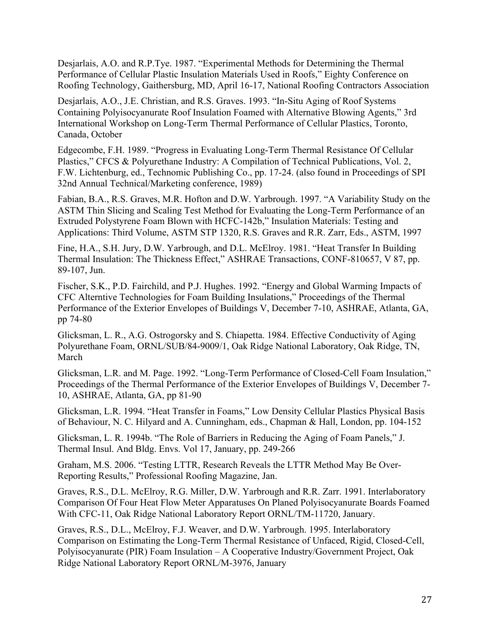Desjarlais, A.O. and R.P.Tye. 1987. "Experimental Methods for Determining the Thermal Performance of Cellular Plastic Insulation Materials Used in Roofs," Eighty Conference on Roofing Technology, Gaithersburg, MD, April 16-17, National Roofing Contractors Association

Desjarlais, A.O., J.E. Christian, and R.S. Graves. 1993. "In-Situ Aging of Roof Systems Containing Polyisocyanurate Roof Insulation Foamed with Alternative Blowing Agents," 3rd International Workshop on Long-Term Thermal Performance of Cellular Plastics, Toronto, Canada, October

Edgecombe, F.H. 1989. "Progress in Evaluating Long-Term Thermal Resistance Of Cellular Plastics," CFCS & Polyurethane Industry: A Compilation of Technical Publications, Vol. 2, F.W. Lichtenburg, ed., Technomic Publishing Co., pp. 17-24. (also found in Proceedings of SPI 32nd Annual Technical/Marketing conference, 1989)

Fabian, B.A., R.S. Graves, M.R. Hofton and D.W. Yarbrough. 1997. "A Variability Study on the ASTM Thin Slicing and Scaling Test Method for Evaluating the Long-Term Performance of an Extruded Polystyrene Foam Blown with HCFC-142b," Insulation Materials: Testing and Applications: Third Volume, ASTM STP 1320, R.S. Graves and R.R. Zarr, Eds., ASTM, 1997

Fine, H.A., S.H. Jury, D.W. Yarbrough, and D.L. McElroy. 1981. "Heat Transfer In Building Thermal Insulation: The Thickness Effect," ASHRAE Transactions, CONF-810657, V 87, pp. 89-107, Jun.

Fischer, S.K., P.D. Fairchild, and P.J. Hughes. 1992. "Energy and Global Warming Impacts of CFC Alterntive Technologies for Foam Building Insulations," Proceedings of the Thermal Performance of the Exterior Envelopes of Buildings V, December 7-10, ASHRAE, Atlanta, GA, pp 74-80

Glicksman, L. R., A.G. Ostrogorsky and S. Chiapetta. 1984. Effective Conductivity of Aging Polyurethane Foam, ORNL/SUB/84-9009/1, Oak Ridge National Laboratory, Oak Ridge, TN, March

Glicksman, L.R. and M. Page. 1992. "Long-Term Performance of Closed-Cell Foam Insulation," Proceedings of the Thermal Performance of the Exterior Envelopes of Buildings V, December 7- 10, ASHRAE, Atlanta, GA, pp 81-90

Glicksman, L.R. 1994. "Heat Transfer in Foams," Low Density Cellular Plastics Physical Basis of Behaviour, N. C. Hilyard and A. Cunningham, eds., Chapman & Hall, London, pp. 104-152

Glicksman, L. R. 1994b. "The Role of Barriers in Reducing the Aging of Foam Panels," J. Thermal Insul. And Bldg. Envs. Vol 17, January, pp. 249-266

Graham, M.S. 2006. "Testing LTTR, Research Reveals the LTTR Method May Be Over-Reporting Results," Professional Roofing Magazine, Jan.

Graves, R.S., D.L. McElroy, R.G. Miller, D.W. Yarbrough and R.R. Zarr. 1991. Interlaboratory Comparison Of Four Heat Flow Meter Apparatuses On Planed Polyisocyanurate Boards Foamed With CFC-11, Oak Ridge National Laboratory Report ORNL/TM-11720, January.

Graves, R.S., D.L., McElroy, F.J. Weaver, and D.W. Yarbrough. 1995. Interlaboratory Comparison on Estimating the Long-Term Thermal Resistance of Unfaced, Rigid, Closed-Cell, Polyisocyanurate (PIR) Foam Insulation – A Cooperative Industry/Government Project, Oak Ridge National Laboratory Report ORNL/M-3976, January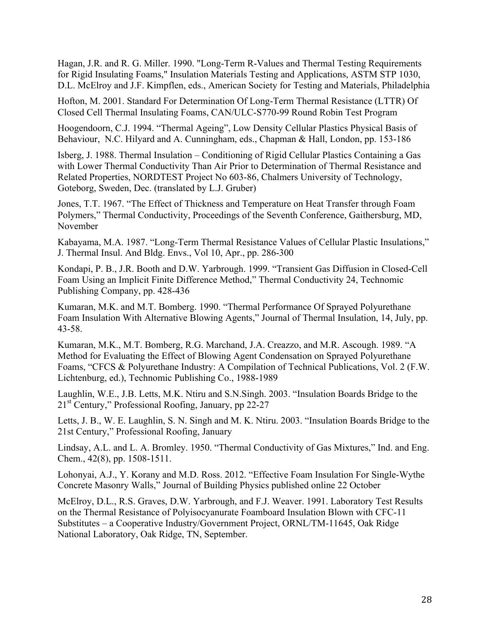Hagan, J.R. and R. G. Miller. 1990. "Long-Term R-Values and Thermal Testing Requirements for Rigid Insulating Foams," Insulation Materials Testing and Applications, ASTM STP 1030, D.L. McElroy and J.F. Kimpflen, eds., American Society for Testing and Materials, Philadelphia

Hofton, M. 2001. Standard For Determination Of Long-Term Thermal Resistance (LTTR) Of Closed Cell Thermal Insulating Foams, CAN/ULC-S770-99 Round Robin Test Program

Hoogendoorn, C.J. 1994. "Thermal Ageing", Low Density Cellular Plastics Physical Basis of Behaviour, N.C. Hilyard and A. Cunningham, eds., Chapman & Hall, London, pp. 153-186

Isberg, J. 1988. Thermal Insulation – Conditioning of Rigid Cellular Plastics Containing a Gas with Lower Thermal Conductivity Than Air Prior to Determination of Thermal Resistance and Related Properties, NORDTEST Project No 603-86, Chalmers University of Technology, Goteborg, Sweden, Dec. (translated by L.J. Gruber)

Jones, T.T. 1967. "The Effect of Thickness and Temperature on Heat Transfer through Foam Polymers," Thermal Conductivity, Proceedings of the Seventh Conference, Gaithersburg, MD, November

Kabayama, M.A. 1987. "Long-Term Thermal Resistance Values of Cellular Plastic Insulations," J. Thermal Insul. And Bldg. Envs., Vol 10, Apr., pp. 286-300

Kondapi, P. B., J.R. Booth and D.W. Yarbrough. 1999. "Transient Gas Diffusion in Closed-Cell Foam Using an Implicit Finite Difference Method," Thermal Conductivity 24, Technomic Publishing Company, pp. 428-436

Kumaran, M.K. and M.T. Bomberg. 1990. "Thermal Performance Of Sprayed Polyurethane Foam Insulation With Alternative Blowing Agents," Journal of Thermal Insulation, 14, July, pp. 43-58.

Kumaran, M.K., M.T. Bomberg, R.G. Marchand, J.A. Creazzo, and M.R. Ascough. 1989. "A Method for Evaluating the Effect of Blowing Agent Condensation on Sprayed Polyurethane Foams, "CFCS & Polyurethane Industry: A Compilation of Technical Publications, Vol. 2 (F.W. Lichtenburg, ed.), Technomic Publishing Co., 1988-1989

Laughlin, W.E., J.B. Letts, M.K. Ntiru and S.N.Singh. 2003. "Insulation Boards Bridge to the 21st Century," Professional Roofing, January, pp 22-27

Letts, J. B., W. E. Laughlin, S. N. Singh and M. K. Ntiru. 2003. "Insulation Boards Bridge to the 21st Century," Professional Roofing, January

Lindsay, A.L. and L. A. Bromley. 1950. "Thermal Conductivity of Gas Mixtures," Ind. and Eng. Chem., 42(8), pp. 1508-1511.

Lohonyai, A.J., Y. Korany and M.D. Ross. 2012. "Effective Foam Insulation For Single-Wythe Concrete Masonry Walls," Journal of Building Physics published online 22 October

McElroy, D.L., R.S. Graves, D.W. Yarbrough, and F.J. Weaver. 1991. Laboratory Test Results on the Thermal Resistance of Polyisocyanurate Foamboard Insulation Blown with CFC-11 Substitutes – a Cooperative Industry/Government Project, ORNL/TM-11645, Oak Ridge National Laboratory, Oak Ridge, TN, September.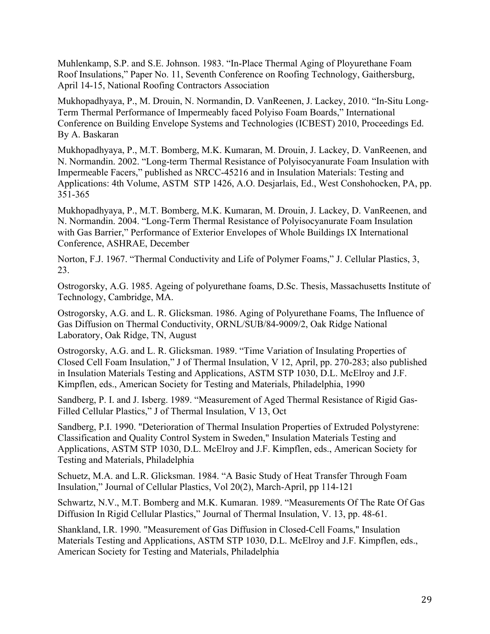Muhlenkamp, S.P. and S.E. Johnson. 1983. "In-Place Thermal Aging of Ployurethane Foam Roof Insulations," Paper No. 11, Seventh Conference on Roofing Technology, Gaithersburg, April 14-15, National Roofing Contractors Association

Mukhopadhyaya, P., M. Drouin, N. Normandin, D. VanReenen, J. Lackey, 2010. "In-Situ Long-Term Thermal Performance of Impermeably faced Polyiso Foam Boards," International Conference on Building Envelope Systems and Technologies (ICBEST) 2010, Proceedings Ed. By A. Baskaran

Mukhopadhyaya, P., M.T. Bomberg, M.K. Kumaran, M. Drouin, J. Lackey, D. VanReenen, and N. Normandin. 2002. "Long-term Thermal Resistance of Polyisocyanurate Foam Insulation with Impermeable Facers," published as NRCC-45216 and in Insulation Materials: Testing and Applications: 4th Volume, ASTM STP 1426, A.O. Desjarlais, Ed., West Conshohocken, PA, pp. 351-365

Mukhopadhyaya, P., M.T. Bomberg, M.K. Kumaran, M. Drouin, J. Lackey, D. VanReenen, and N. Normandin. 2004. "Long-Term Thermal Resistance of Polyisocyanurate Foam Insulation with Gas Barrier," Performance of Exterior Envelopes of Whole Buildings IX International Conference, ASHRAE, December

Norton, F.J. 1967. "Thermal Conductivity and Life of Polymer Foams," J. Cellular Plastics, 3, 23.

Ostrogorsky, A.G. 1985. Ageing of polyurethane foams, D.Sc. Thesis, Massachusetts Institute of Technology, Cambridge, MA.

Ostrogorsky, A.G. and L. R. Glicksman. 1986. Aging of Polyurethane Foams, The Influence of Gas Diffusion on Thermal Conductivity, ORNL/SUB/84-9009/2, Oak Ridge National Laboratory, Oak Ridge, TN, August

Ostrogorsky, A.G. and L. R. Glicksman. 1989. "Time Variation of Insulating Properties of Closed Cell Foam Insulation," J of Thermal Insulation, V 12, April, pp. 270-283; also published in Insulation Materials Testing and Applications, ASTM STP 1030, D.L. McElroy and J.F. Kimpflen, eds., American Society for Testing and Materials, Philadelphia, 1990

Sandberg, P. I. and J. Isberg. 1989. "Measurement of Aged Thermal Resistance of Rigid Gas-Filled Cellular Plastics," J of Thermal Insulation, V 13, Oct

Sandberg, P.I. 1990. "Deterioration of Thermal Insulation Properties of Extruded Polystyrene: Classification and Quality Control System in Sweden," Insulation Materials Testing and Applications, ASTM STP 1030, D.L. McElroy and J.F. Kimpflen, eds., American Society for Testing and Materials, Philadelphia

Schuetz, M.A. and L.R. Glicksman. 1984. "A Basic Study of Heat Transfer Through Foam Insulation," Journal of Cellular Plastics, Vol 20(2), March-April, pp 114-121

Schwartz, N.V., M.T. Bomberg and M.K. Kumaran. 1989. "Measurements Of The Rate Of Gas Diffusion In Rigid Cellular Plastics," Journal of Thermal Insulation, V. 13, pp. 48-61.

Shankland, I.R. 1990. "Measurement of Gas Diffusion in Closed-Cell Foams," Insulation Materials Testing and Applications, ASTM STP 1030, D.L. McElroy and J.F. Kimpflen, eds., American Society for Testing and Materials, Philadelphia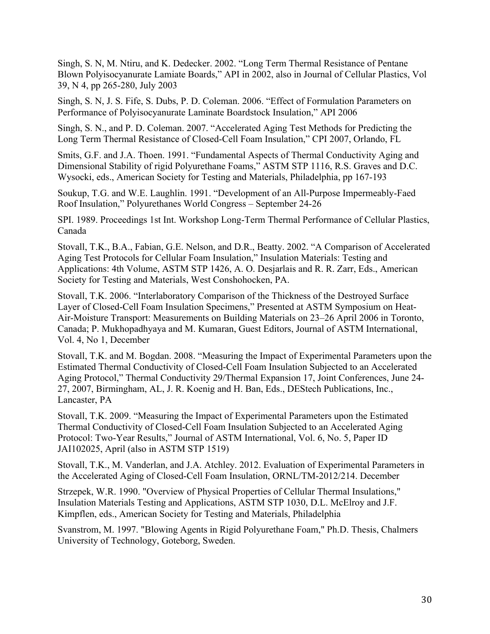Singh, S. N, M. Ntiru, and K. Dedecker. 2002. "Long Term Thermal Resistance of Pentane Blown Polyisocyanurate Lamiate Boards," API in 2002, also in Journal of Cellular Plastics, Vol 39, N 4, pp 265-280, July 2003

Singh, S. N, J. S. Fife, S. Dubs, P. D. Coleman. 2006. "Effect of Formulation Parameters on Performance of Polyisocyanurate Laminate Boardstock Insulation," API 2006

Singh, S. N., and P. D. Coleman. 2007. "Accelerated Aging Test Methods for Predicting the Long Term Thermal Resistance of Closed-Cell Foam Insulation," CPI 2007, Orlando, FL

Smits, G.F. and J.A. Thoen. 1991. "Fundamental Aspects of Thermal Conductivity Aging and Dimensional Stability of rigid Polyurethane Foams," ASTM STP 1116, R.S. Graves and D.C. Wysocki, eds., American Society for Testing and Materials, Philadelphia, pp 167-193

Soukup, T.G. and W.E. Laughlin. 1991. "Development of an All-Purpose Impermeably-Faed Roof Insulation," Polyurethanes World Congress – September 24-26

SPI. 1989. Proceedings 1st Int. Workshop Long-Term Thermal Performance of Cellular Plastics, Canada

Stovall, T.K., B.A., Fabian, G.E. Nelson, and D.R., Beatty. 2002. "A Comparison of Accelerated Aging Test Protocols for Cellular Foam Insulation," Insulation Materials: Testing and Applications: 4th Volume, ASTM STP 1426, A. O. Desjarlais and R. R. Zarr, Eds., American Society for Testing and Materials, West Conshohocken, PA.

Stovall, T.K. 2006. "Interlaboratory Comparison of the Thickness of the Destroyed Surface Layer of Closed-Cell Foam Insulation Specimens," Presented at ASTM Symposium on Heat-Air-Moisture Transport: Measurements on Building Materials on 23–26 April 2006 in Toronto, Canada; P. Mukhopadhyaya and M. Kumaran, Guest Editors, Journal of ASTM International, Vol. 4, No 1, December

Stovall, T.K. and M. Bogdan. 2008. "Measuring the Impact of Experimental Parameters upon the Estimated Thermal Conductivity of Closed-Cell Foam Insulation Subjected to an Accelerated Aging Protocol," Thermal Conductivity 29/Thermal Expansion 17, Joint Conferences, June 24- 27, 2007, Birmingham, AL, J. R. Koenig and H. Ban, Eds., DEStech Publications, Inc., Lancaster, PA

Stovall, T.K. 2009. "Measuring the Impact of Experimental Parameters upon the Estimated Thermal Conductivity of Closed-Cell Foam Insulation Subjected to an Accelerated Aging Protocol: Two-Year Results," Journal of ASTM International, Vol. 6, No. 5, Paper ID JAI102025, April (also in ASTM STP 1519)

Stovall, T.K., M. Vanderlan, and J.A. Atchley. 2012. Evaluation of Experimental Parameters in the Accelerated Aging of Closed-Cell Foam Insulation, ORNL/TM-2012/214. December

Strzepek, W.R. 1990. "Overview of Physical Properties of Cellular Thermal Insulations," Insulation Materials Testing and Applications, ASTM STP 1030, D.L. McElroy and J.F. Kimpflen, eds., American Society for Testing and Materials, Philadelphia

Svanstrom, M. 1997. "Blowing Agents in Rigid Polyurethane Foam," Ph.D. Thesis, Chalmers University of Technology, Goteborg, Sweden.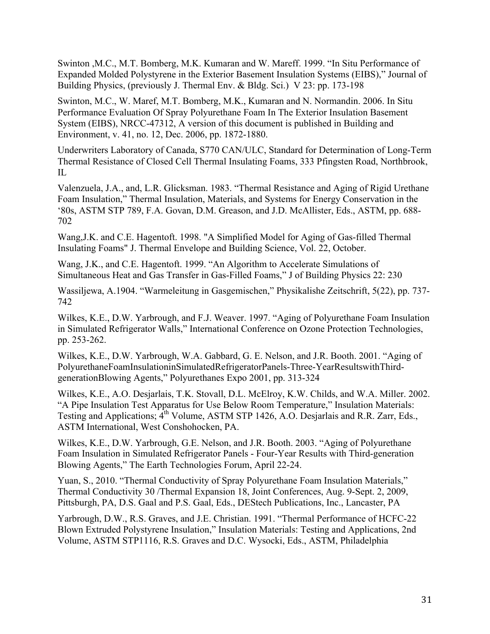Swinton ,M.C., M.T. Bomberg, M.K. Kumaran and W. Mareff. 1999. "In Situ Performance of Expanded Molded Polystyrene in the Exterior Basement Insulation Systems (EIBS)," Journal of Building Physics, (previously J. Thermal Env. & Bldg. Sci.) V 23: pp. 173-198

Swinton, M.C., W. Maref, M.T. Bomberg, M.K., Kumaran and N. Normandin. 2006. In Situ Performance Evaluation Of Spray Polyurethane Foam In The Exterior Insulation Basement System (EIBS), NRCC-47312, A version of this document is published in Building and Environment, v. 41, no. 12, Dec. 2006, pp. 1872-1880.

Underwriters Laboratory of Canada, S770 CAN/ULC, Standard for Determination of Long-Term Thermal Resistance of Closed Cell Thermal Insulating Foams, 333 Pfingsten Road, Northbrook, IL

Valenzuela, J.A., and, L.R. Glicksman. 1983. "Thermal Resistance and Aging of Rigid Urethane Foam Insulation," Thermal Insulation, Materials, and Systems for Energy Conservation in the '80s, ASTM STP 789, F.A. Govan, D.M. Greason, and J.D. McAllister, Eds., ASTM, pp. 688- 702

Wang,J.K. and C.E. Hagentoft. 1998. "A Simplified Model for Aging of Gas-filled Thermal Insulating Foams" J. Thermal Envelope and Building Science, Vol. 22, October.

Wang, J.K., and C.E. Hagentoft. 1999. "An Algorithm to Accelerate Simulations of Simultaneous Heat and Gas Transfer in Gas-Filled Foams," J of Building Physics 22: 230

Wassiljewa, A.1904. "Warmeleitung in Gasgemischen," Physikalishe Zeitschrift, 5(22), pp. 737- 742

Wilkes, K.E., D.W. Yarbrough, and F.J. Weaver. 1997. "Aging of Polyurethane Foam Insulation in Simulated Refrigerator Walls," International Conference on Ozone Protection Technologies, pp. 253-262.

Wilkes, K.E., D.W. Yarbrough, W.A. Gabbard, G. E. Nelson, and J.R. Booth. 2001. "Aging of PolyurethaneFoamInsulationinSimulatedRefrigeratorPanels-Three-YearResultswithThirdgenerationBlowing Agents," Polyurethanes Expo 2001, pp. 313-324

Wilkes, K.E., A.O. Desjarlais, T.K. Stovall, D.L. McElroy, K.W. Childs, and W.A. Miller. 2002. "A Pipe Insulation Test Apparatus for Use Below Room Temperature," Insulation Materials: Testing and Applications; 4<sup>th</sup> Volume, ASTM STP 1426, A.O. Desjarlais and R.R. Zarr, Eds., ASTM International, West Conshohocken, PA.

Wilkes, K.E., D.W. Yarbrough, G.E. Nelson, and J.R. Booth. 2003. "Aging of Polyurethane Foam Insulation in Simulated Refrigerator Panels - Four-Year Results with Third-generation Blowing Agents," The Earth Technologies Forum, April 22-24.

Yuan, S., 2010. "Thermal Conductivity of Spray Polyurethane Foam Insulation Materials," Thermal Conductivity 30 /Thermal Expansion 18, Joint Conferences, Aug. 9-Sept. 2, 2009, Pittsburgh, PA, D.S. Gaal and P.S. Gaal, Eds., DEStech Publications, Inc., Lancaster, PA

Yarbrough, D.W., R.S. Graves, and J.E. Christian. 1991. "Thermal Performance of HCFC-22 Blown Extruded Polystyrene Insulation," Insulation Materials: Testing and Applications, 2nd Volume, ASTM STP1116, R.S. Graves and D.C. Wysocki, Eds., ASTM, Philadelphia